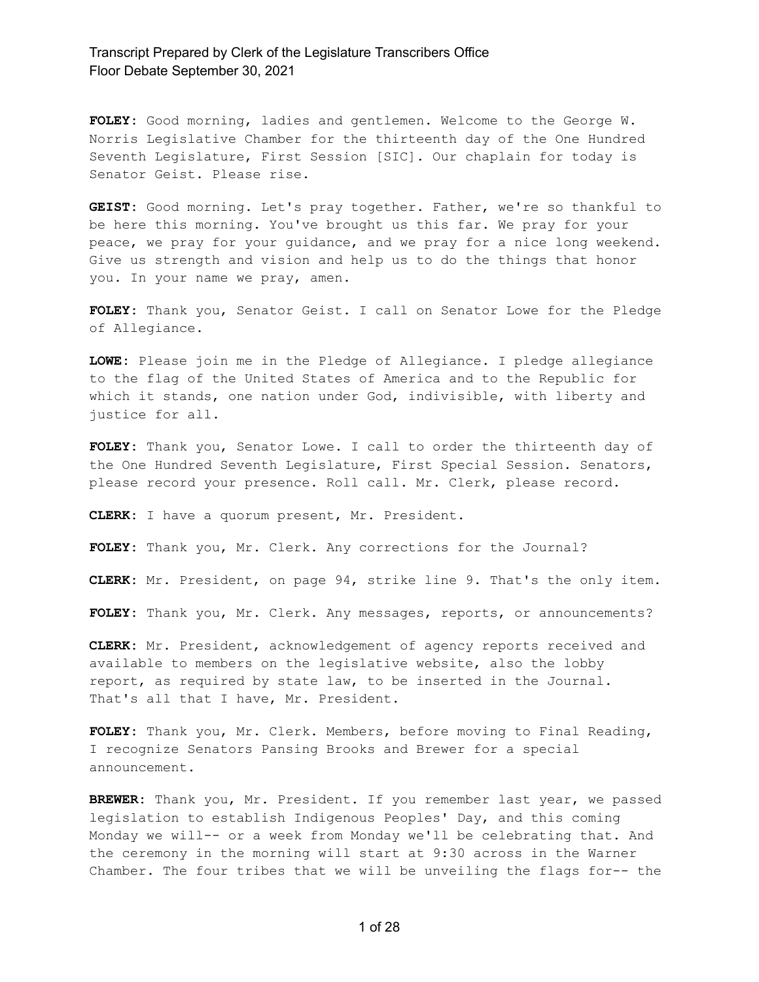**FOLEY:** Good morning, ladies and gentlemen. Welcome to the George W. Norris Legislative Chamber for the thirteenth day of the One Hundred Seventh Legislature, First Session [SIC]. Our chaplain for today is Senator Geist. Please rise.

**GEIST:** Good morning. Let's pray together. Father, we're so thankful to be here this morning. You've brought us this far. We pray for your peace, we pray for your guidance, and we pray for a nice long weekend. Give us strength and vision and help us to do the things that honor you. In your name we pray, amen.

**FOLEY:** Thank you, Senator Geist. I call on Senator Lowe for the Pledge of Allegiance.

**LOWE:** Please join me in the Pledge of Allegiance. I pledge allegiance to the flag of the United States of America and to the Republic for which it stands, one nation under God, indivisible, with liberty and justice for all.

**FOLEY:** Thank you, Senator Lowe. I call to order the thirteenth day of the One Hundred Seventh Legislature, First Special Session. Senators, please record your presence. Roll call. Mr. Clerk, please record.

**CLERK:** I have a quorum present, Mr. President.

**FOLEY:** Thank you, Mr. Clerk. Any corrections for the Journal?

**CLERK:** Mr. President, on page 94, strike line 9. That's the only item.

**FOLEY:** Thank you, Mr. Clerk. Any messages, reports, or announcements?

**CLERK:** Mr. President, acknowledgement of agency reports received and available to members on the legislative website, also the lobby report, as required by state law, to be inserted in the Journal. That's all that I have, Mr. President.

**FOLEY:** Thank you, Mr. Clerk. Members, before moving to Final Reading, I recognize Senators Pansing Brooks and Brewer for a special announcement.

**BREWER:** Thank you, Mr. President. If you remember last year, we passed legislation to establish Indigenous Peoples' Day, and this coming Monday we will-- or a week from Monday we'll be celebrating that. And the ceremony in the morning will start at 9:30 across in the Warner Chamber. The four tribes that we will be unveiling the flags for-- the

1 of 28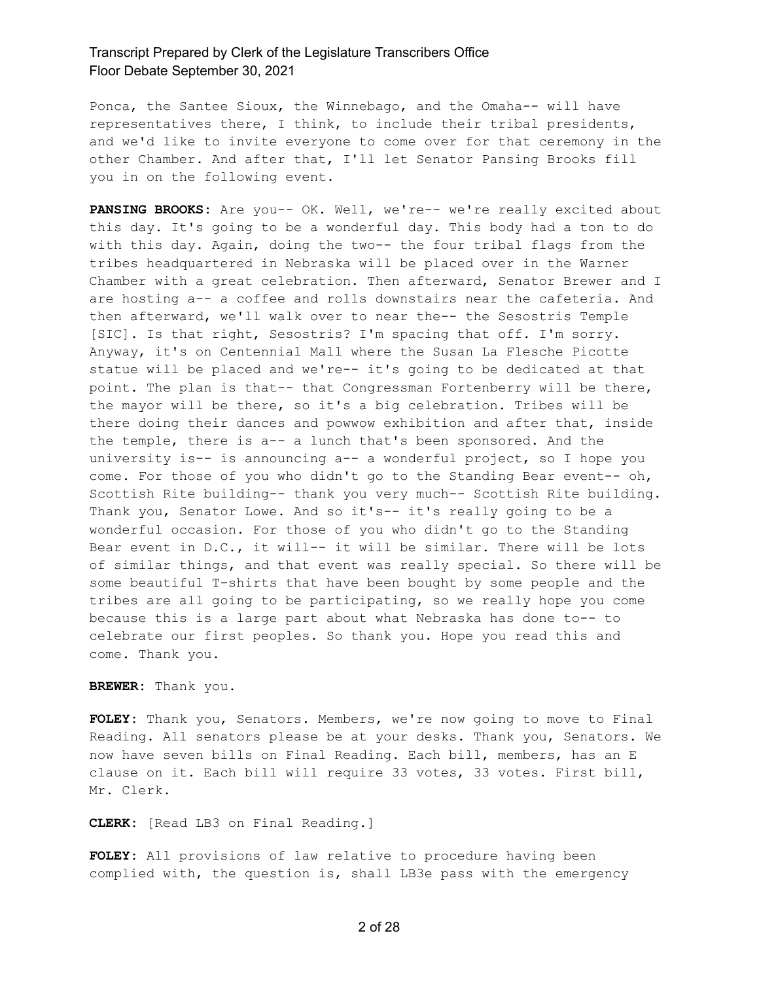Ponca, the Santee Sioux, the Winnebago, and the Omaha-- will have representatives there, I think, to include their tribal presidents, and we'd like to invite everyone to come over for that ceremony in the other Chamber. And after that, I'll let Senator Pansing Brooks fill you in on the following event.

**PANSING BROOKS:** Are you-- OK. Well, we're-- we're really excited about this day. It's going to be a wonderful day. This body had a ton to do with this day. Again, doing the two-- the four tribal flags from the tribes headquartered in Nebraska will be placed over in the Warner Chamber with a great celebration. Then afterward, Senator Brewer and I are hosting a-- a coffee and rolls downstairs near the cafeteria. And then afterward, we'll walk over to near the-- the Sesostris Temple [SIC]. Is that right, Sesostris? I'm spacing that off. I'm sorry. Anyway, it's on Centennial Mall where the Susan La Flesche Picotte statue will be placed and we're-- it's going to be dedicated at that point. The plan is that-- that Congressman Fortenberry will be there, the mayor will be there, so it's a big celebration. Tribes will be there doing their dances and powwow exhibition and after that, inside the temple, there is a-- a lunch that's been sponsored. And the university is-- is announcing a-- a wonderful project, so I hope you come. For those of you who didn't go to the Standing Bear event-- oh, Scottish Rite building-- thank you very much-- Scottish Rite building. Thank you, Senator Lowe. And so it's-- it's really going to be a wonderful occasion. For those of you who didn't go to the Standing Bear event in D.C., it will-- it will be similar. There will be lots of similar things, and that event was really special. So there will be some beautiful T-shirts that have been bought by some people and the tribes are all going to be participating, so we really hope you come because this is a large part about what Nebraska has done to-- to celebrate our first peoples. So thank you. Hope you read this and come. Thank you.

#### **BREWER:** Thank you.

**FOLEY:** Thank you, Senators. Members, we're now going to move to Final Reading. All senators please be at your desks. Thank you, Senators. We now have seven bills on Final Reading. Each bill, members, has an E clause on it. Each bill will require 33 votes, 33 votes. First bill, Mr. Clerk.

#### **CLERK:** [Read LB3 on Final Reading.]

**FOLEY:** All provisions of law relative to procedure having been complied with, the question is, shall LB3e pass with the emergency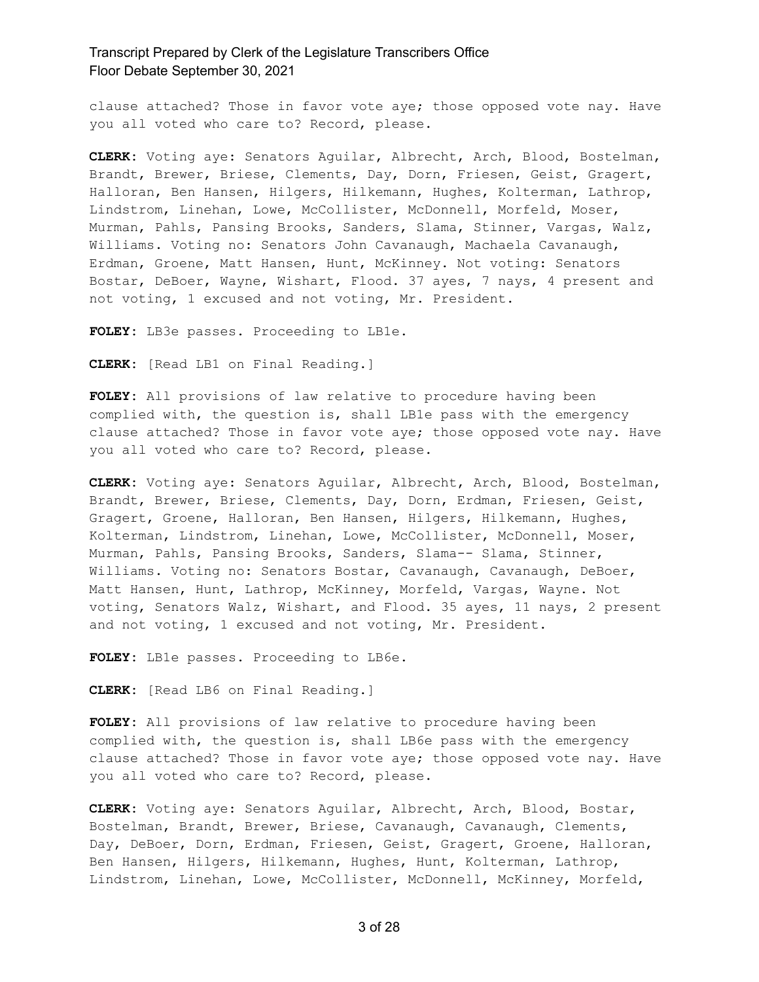clause attached? Those in favor vote aye; those opposed vote nay. Have you all voted who care to? Record, please.

**CLERK:** Voting aye: Senators Aguilar, Albrecht, Arch, Blood, Bostelman, Brandt, Brewer, Briese, Clements, Day, Dorn, Friesen, Geist, Gragert, Halloran, Ben Hansen, Hilgers, Hilkemann, Hughes, Kolterman, Lathrop, Lindstrom, Linehan, Lowe, McCollister, McDonnell, Morfeld, Moser, Murman, Pahls, Pansing Brooks, Sanders, Slama, Stinner, Vargas, Walz, Williams. Voting no: Senators John Cavanaugh, Machaela Cavanaugh, Erdman, Groene, Matt Hansen, Hunt, McKinney. Not voting: Senators Bostar, DeBoer, Wayne, Wishart, Flood. 37 ayes, 7 nays, 4 present and not voting, 1 excused and not voting, Mr. President.

**FOLEY:** LB3e passes. Proceeding to LB1e.

**CLERK:** [Read LB1 on Final Reading.]

**FOLEY:** All provisions of law relative to procedure having been complied with, the question is, shall LB1e pass with the emergency clause attached? Those in favor vote aye; those opposed vote nay. Have you all voted who care to? Record, please.

**CLERK:** Voting aye: Senators Aguilar, Albrecht, Arch, Blood, Bostelman, Brandt, Brewer, Briese, Clements, Day, Dorn, Erdman, Friesen, Geist, Gragert, Groene, Halloran, Ben Hansen, Hilgers, Hilkemann, Hughes, Kolterman, Lindstrom, Linehan, Lowe, McCollister, McDonnell, Moser, Murman, Pahls, Pansing Brooks, Sanders, Slama-- Slama, Stinner, Williams. Voting no: Senators Bostar, Cavanaugh, Cavanaugh, DeBoer, Matt Hansen, Hunt, Lathrop, McKinney, Morfeld, Vargas, Wayne. Not voting, Senators Walz, Wishart, and Flood. 35 ayes, 11 nays, 2 present and not voting, 1 excused and not voting, Mr. President.

FOLEY: LB1e passes. Proceeding to LB6e.

**CLERK:** [Read LB6 on Final Reading.]

**FOLEY:** All provisions of law relative to procedure having been complied with, the question is, shall LB6e pass with the emergency clause attached? Those in favor vote aye; those opposed vote nay. Have you all voted who care to? Record, please.

**CLERK:** Voting aye: Senators Aguilar, Albrecht, Arch, Blood, Bostar, Bostelman, Brandt, Brewer, Briese, Cavanaugh, Cavanaugh, Clements, Day, DeBoer, Dorn, Erdman, Friesen, Geist, Gragert, Groene, Halloran, Ben Hansen, Hilgers, Hilkemann, Hughes, Hunt, Kolterman, Lathrop, Lindstrom, Linehan, Lowe, McCollister, McDonnell, McKinney, Morfeld,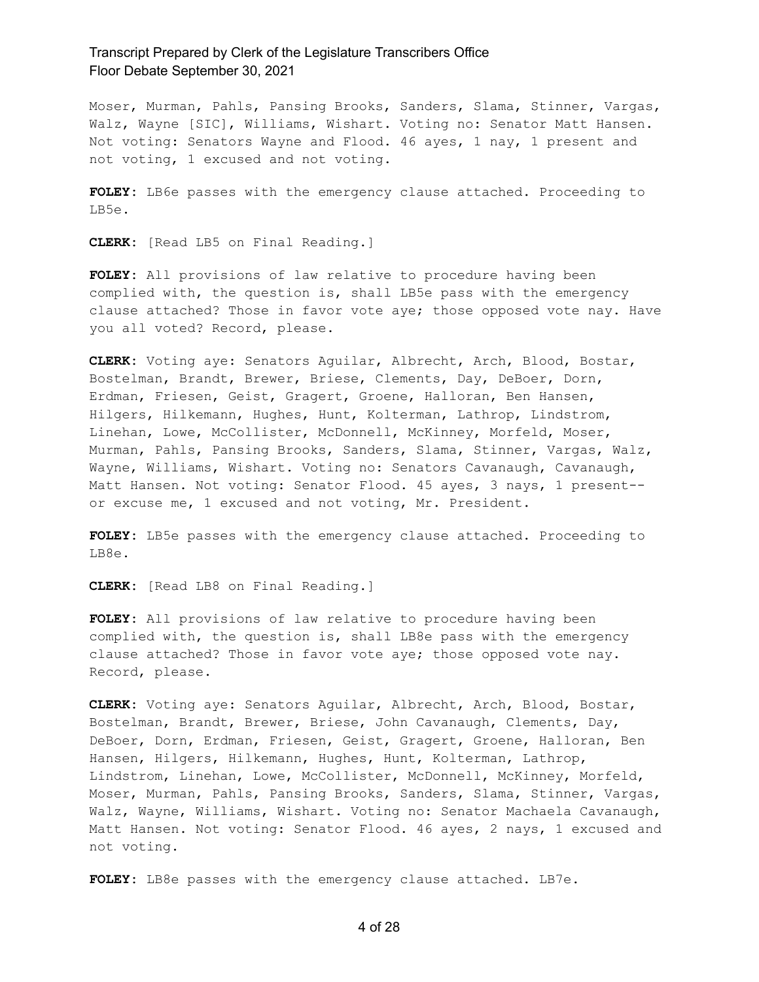Moser, Murman, Pahls, Pansing Brooks, Sanders, Slama, Stinner, Vargas, Walz, Wayne [SIC], Williams, Wishart. Voting no: Senator Matt Hansen. Not voting: Senators Wayne and Flood. 46 ayes, 1 nay, 1 present and not voting, 1 excused and not voting.

**FOLEY:** LB6e passes with the emergency clause attached. Proceeding to LB5e.

**CLERK:** [Read LB5 on Final Reading.]

**FOLEY:** All provisions of law relative to procedure having been complied with, the question is, shall LB5e pass with the emergency clause attached? Those in favor vote aye; those opposed vote nay. Have you all voted? Record, please.

**CLERK:** Voting aye: Senators Aguilar, Albrecht, Arch, Blood, Bostar, Bostelman, Brandt, Brewer, Briese, Clements, Day, DeBoer, Dorn, Erdman, Friesen, Geist, Gragert, Groene, Halloran, Ben Hansen, Hilgers, Hilkemann, Hughes, Hunt, Kolterman, Lathrop, Lindstrom, Linehan, Lowe, McCollister, McDonnell, McKinney, Morfeld, Moser, Murman, Pahls, Pansing Brooks, Sanders, Slama, Stinner, Vargas, Walz, Wayne, Williams, Wishart. Voting no: Senators Cavanaugh, Cavanaugh, Matt Hansen. Not voting: Senator Flood. 45 ayes, 3 nays, 1 present- or excuse me, 1 excused and not voting, Mr. President.

**FOLEY:** LB5e passes with the emergency clause attached. Proceeding to LB8e.

**CLERK:** [Read LB8 on Final Reading.]

**FOLEY:** All provisions of law relative to procedure having been complied with, the question is, shall LB8e pass with the emergency clause attached? Those in favor vote aye; those opposed vote nay. Record, please.

**CLERK:** Voting aye: Senators Aguilar, Albrecht, Arch, Blood, Bostar, Bostelman, Brandt, Brewer, Briese, John Cavanaugh, Clements, Day, DeBoer, Dorn, Erdman, Friesen, Geist, Gragert, Groene, Halloran, Ben Hansen, Hilgers, Hilkemann, Hughes, Hunt, Kolterman, Lathrop, Lindstrom, Linehan, Lowe, McCollister, McDonnell, McKinney, Morfeld, Moser, Murman, Pahls, Pansing Brooks, Sanders, Slama, Stinner, Vargas, Walz, Wayne, Williams, Wishart. Voting no: Senator Machaela Cavanaugh, Matt Hansen. Not voting: Senator Flood. 46 ayes, 2 nays, 1 excused and not voting.

**FOLEY:** LB8e passes with the emergency clause attached. LB7e.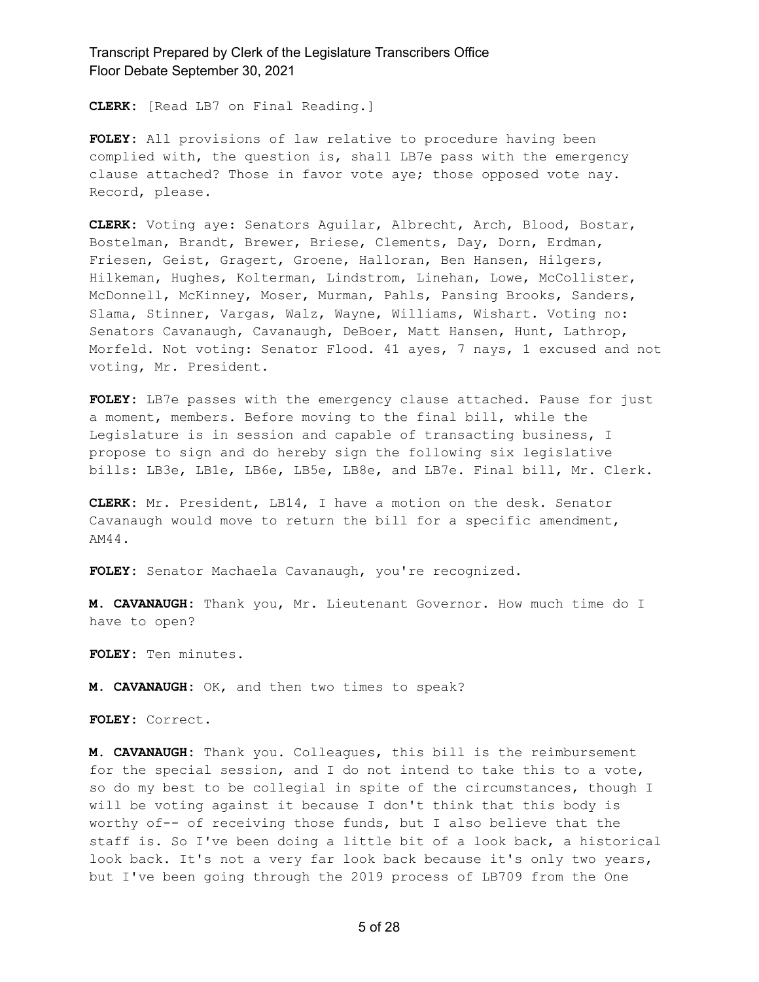**CLERK:** [Read LB7 on Final Reading.]

**FOLEY:** All provisions of law relative to procedure having been complied with, the question is, shall LB7e pass with the emergency clause attached? Those in favor vote aye; those opposed vote nay. Record, please.

**CLERK:** Voting aye: Senators Aguilar, Albrecht, Arch, Blood, Bostar, Bostelman, Brandt, Brewer, Briese, Clements, Day, Dorn, Erdman, Friesen, Geist, Gragert, Groene, Halloran, Ben Hansen, Hilgers, Hilkeman, Hughes, Kolterman, Lindstrom, Linehan, Lowe, McCollister, McDonnell, McKinney, Moser, Murman, Pahls, Pansing Brooks, Sanders, Slama, Stinner, Vargas, Walz, Wayne, Williams, Wishart. Voting no: Senators Cavanaugh, Cavanaugh, DeBoer, Matt Hansen, Hunt, Lathrop, Morfeld. Not voting: Senator Flood. 41 ayes, 7 nays, 1 excused and not voting, Mr. President.

**FOLEY:** LB7e passes with the emergency clause attached. Pause for just a moment, members. Before moving to the final bill, while the Legislature is in session and capable of transacting business, I propose to sign and do hereby sign the following six legislative bills: LB3e, LB1e, LB6e, LB5e, LB8e, and LB7e. Final bill, Mr. Clerk.

**CLERK:** Mr. President, LB14, I have a motion on the desk. Senator Cavanaugh would move to return the bill for a specific amendment, AM44.

**FOLEY:** Senator Machaela Cavanaugh, you're recognized.

**M. CAVANAUGH:** Thank you, Mr. Lieutenant Governor. How much time do I have to open?

**FOLEY:** Ten minutes.

**M. CAVANAUGH:** OK, and then two times to speak?

**FOLEY:** Correct.

**M. CAVANAUGH:** Thank you. Colleagues, this bill is the reimbursement for the special session, and I do not intend to take this to a vote, so do my best to be collegial in spite of the circumstances, though I will be voting against it because I don't think that this body is worthy of-- of receiving those funds, but I also believe that the staff is. So I've been doing a little bit of a look back, a historical look back. It's not a very far look back because it's only two years, but I've been going through the 2019 process of LB709 from the One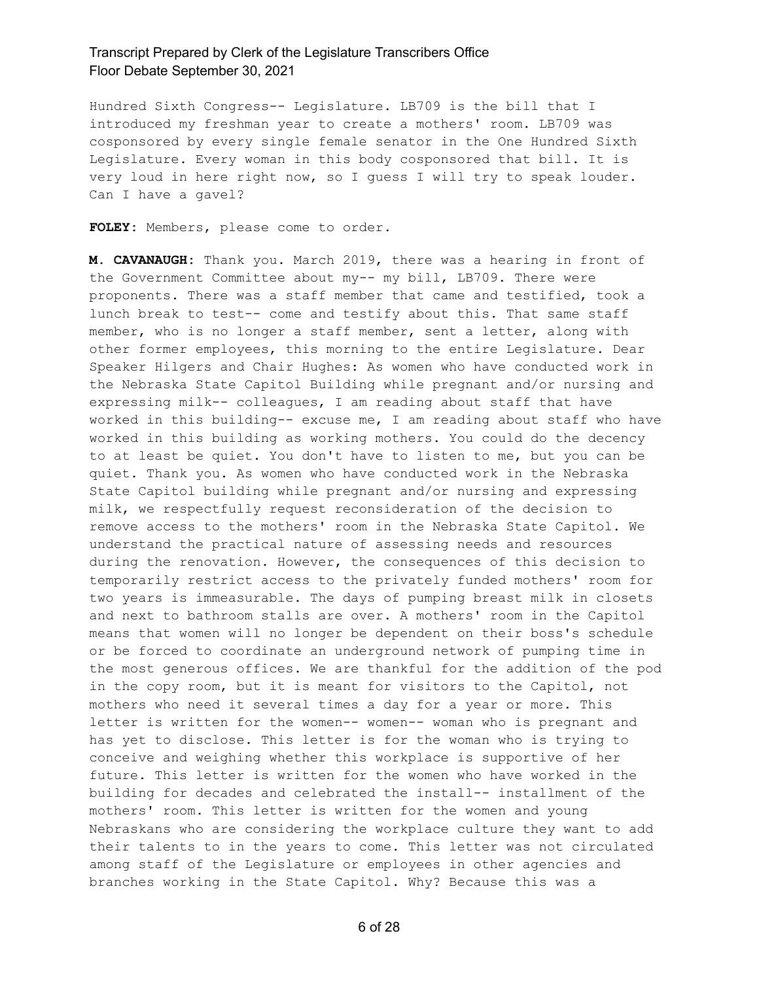Hundred Sixth Congress-- Legislature. LB709 is the bill that I introduced my freshman year to create a mothers' room. LB709 was cosponsored by every single female senator in the One Hundred Sixth Legislature. Every woman in this body cosponsored that bill. It is very loud in here right now, so I guess I will try to speak louder. Can I have a gavel?

**FOLEY:** Members, please come to order.

**M. CAVANAUGH:** Thank you. March 2019, there was a hearing in front of the Government Committee about my-- my bill, LB709. There were proponents. There was a staff member that came and testified, took a lunch break to test-- come and testify about this. That same staff member, who is no longer a staff member, sent a letter, along with other former employees, this morning to the entire Legislature. Dear Speaker Hilgers and Chair Hughes: As women who have conducted work in the Nebraska State Capitol Building while pregnant and/or nursing and expressing milk-- colleagues, I am reading about staff that have worked in this building-- excuse me, I am reading about staff who have worked in this building as working mothers. You could do the decency to at least be quiet. You don't have to listen to me, but you can be quiet. Thank you. As women who have conducted work in the Nebraska State Capitol building while pregnant and/or nursing and expressing milk, we respectfully request reconsideration of the decision to remove access to the mothers' room in the Nebraska State Capitol. We understand the practical nature of assessing needs and resources during the renovation. However, the consequences of this decision to temporarily restrict access to the privately funded mothers' room for two years is immeasurable. The days of pumping breast milk in closets and next to bathroom stalls are over. A mothers' room in the Capitol means that women will no longer be dependent on their boss's schedule or be forced to coordinate an underground network of pumping time in the most generous offices. We are thankful for the addition of the pod in the copy room, but it is meant for visitors to the Capitol, not mothers who need it several times a day for a year or more. This letter is written for the women-- women-- woman who is pregnant and has yet to disclose. This letter is for the woman who is trying to conceive and weighing whether this workplace is supportive of her future. This letter is written for the women who have worked in the building for decades and celebrated the install-- installment of the mothers' room. This letter is written for the women and young Nebraskans who are considering the workplace culture they want to add their talents to in the years to come. This letter was not circulated among staff of the Legislature or employees in other agencies and branches working in the State Capitol. Why? Because this was a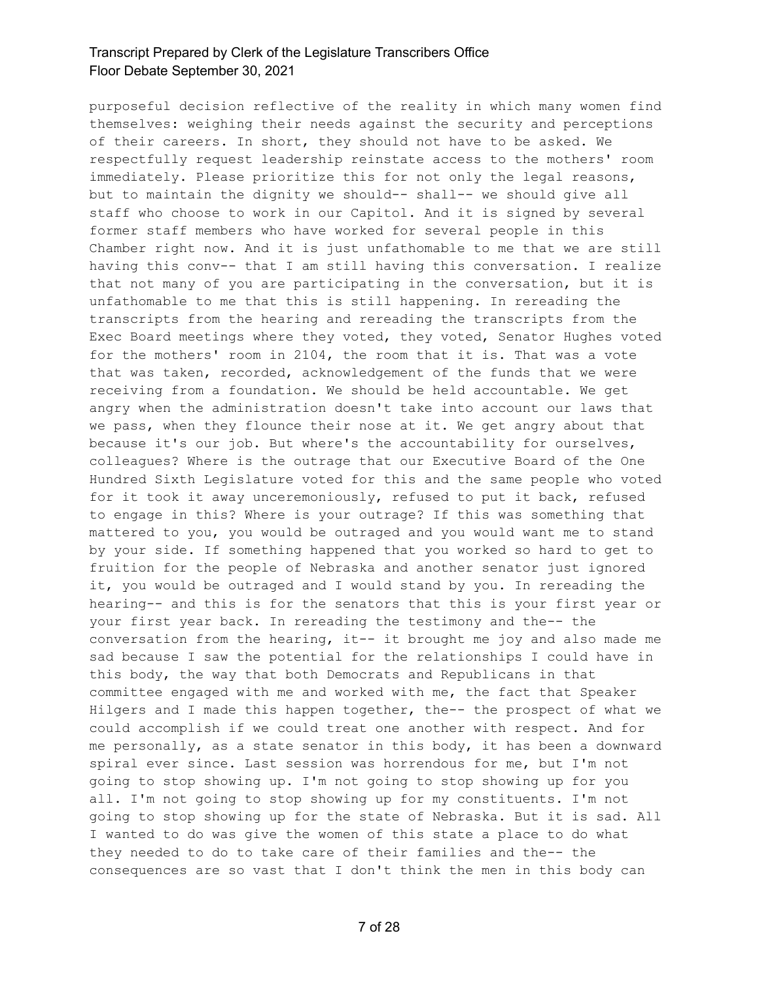purposeful decision reflective of the reality in which many women find themselves: weighing their needs against the security and perceptions of their careers. In short, they should not have to be asked. We respectfully request leadership reinstate access to the mothers' room immediately. Please prioritize this for not only the legal reasons, but to maintain the dignity we should-- shall-- we should give all staff who choose to work in our Capitol. And it is signed by several former staff members who have worked for several people in this Chamber right now. And it is just unfathomable to me that we are still having this conv-- that I am still having this conversation. I realize that not many of you are participating in the conversation, but it is unfathomable to me that this is still happening. In rereading the transcripts from the hearing and rereading the transcripts from the Exec Board meetings where they voted, they voted, Senator Hughes voted for the mothers' room in 2104, the room that it is. That was a vote that was taken, recorded, acknowledgement of the funds that we were receiving from a foundation. We should be held accountable. We get angry when the administration doesn't take into account our laws that we pass, when they flounce their nose at it. We get angry about that because it's our job. But where's the accountability for ourselves, colleagues? Where is the outrage that our Executive Board of the One Hundred Sixth Legislature voted for this and the same people who voted for it took it away unceremoniously, refused to put it back, refused to engage in this? Where is your outrage? If this was something that mattered to you, you would be outraged and you would want me to stand by your side. If something happened that you worked so hard to get to fruition for the people of Nebraska and another senator just ignored it, you would be outraged and I would stand by you. In rereading the hearing-- and this is for the senators that this is your first year or your first year back. In rereading the testimony and the-- the conversation from the hearing, it-- it brought me joy and also made me sad because I saw the potential for the relationships I could have in this body, the way that both Democrats and Republicans in that committee engaged with me and worked with me, the fact that Speaker Hilgers and I made this happen together, the-- the prospect of what we could accomplish if we could treat one another with respect. And for me personally, as a state senator in this body, it has been a downward spiral ever since. Last session was horrendous for me, but I'm not going to stop showing up. I'm not going to stop showing up for you all. I'm not going to stop showing up for my constituents. I'm not going to stop showing up for the state of Nebraska. But it is sad. All I wanted to do was give the women of this state a place to do what they needed to do to take care of their families and the-- the consequences are so vast that I don't think the men in this body can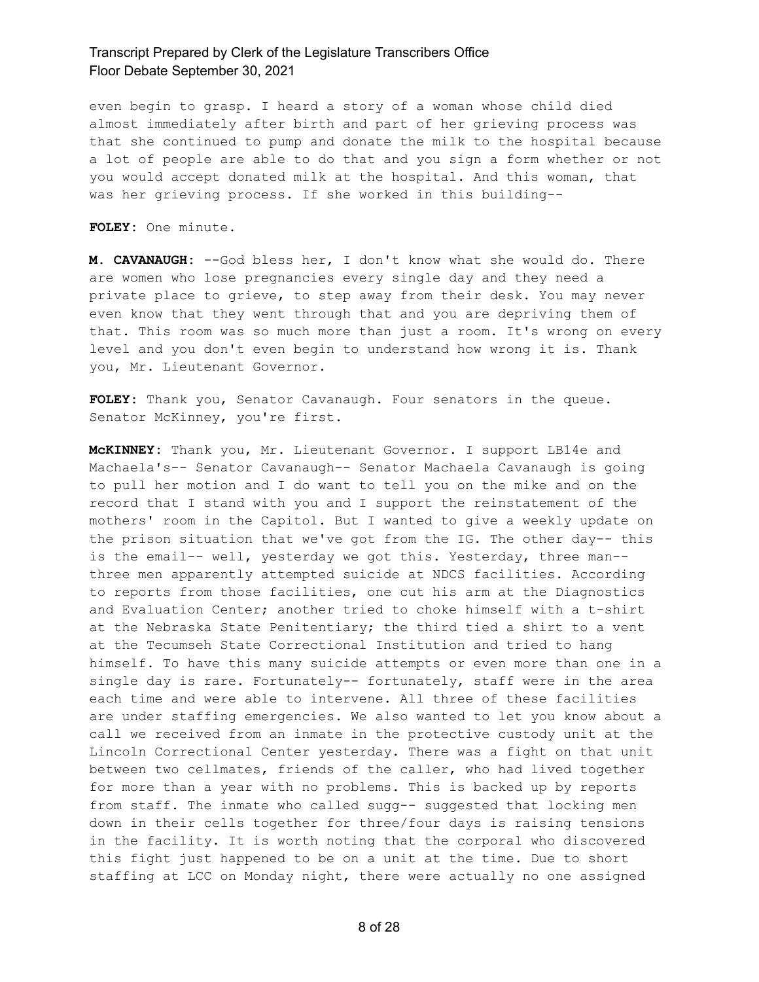even begin to grasp. I heard a story of a woman whose child died almost immediately after birth and part of her grieving process was that she continued to pump and donate the milk to the hospital because a lot of people are able to do that and you sign a form whether or not you would accept donated milk at the hospital. And this woman, that was her grieving process. If she worked in this building--

**FOLEY:** One minute.

**M. CAVANAUGH:** --God bless her, I don't know what she would do. There are women who lose pregnancies every single day and they need a private place to grieve, to step away from their desk. You may never even know that they went through that and you are depriving them of that. This room was so much more than just a room. It's wrong on every level and you don't even begin to understand how wrong it is. Thank you, Mr. Lieutenant Governor.

**FOLEY:** Thank you, Senator Cavanaugh. Four senators in the queue. Senator McKinney, you're first.

**McKINNEY:** Thank you, Mr. Lieutenant Governor. I support LB14e and Machaela's-- Senator Cavanaugh-- Senator Machaela Cavanaugh is going to pull her motion and I do want to tell you on the mike and on the record that I stand with you and I support the reinstatement of the mothers' room in the Capitol. But I wanted to give a weekly update on the prison situation that we've got from the IG. The other day-- this is the email-- well, yesterday we got this. Yesterday, three man- three men apparently attempted suicide at NDCS facilities. According to reports from those facilities, one cut his arm at the Diagnostics and Evaluation Center; another tried to choke himself with a t-shirt at the Nebraska State Penitentiary; the third tied a shirt to a vent at the Tecumseh State Correctional Institution and tried to hang himself. To have this many suicide attempts or even more than one in a single day is rare. Fortunately-- fortunately, staff were in the area each time and were able to intervene. All three of these facilities are under staffing emergencies. We also wanted to let you know about a call we received from an inmate in the protective custody unit at the Lincoln Correctional Center yesterday. There was a fight on that unit between two cellmates, friends of the caller, who had lived together for more than a year with no problems. This is backed up by reports from staff. The inmate who called sugg-- suggested that locking men down in their cells together for three/four days is raising tensions in the facility. It is worth noting that the corporal who discovered this fight just happened to be on a unit at the time. Due to short staffing at LCC on Monday night, there were actually no one assigned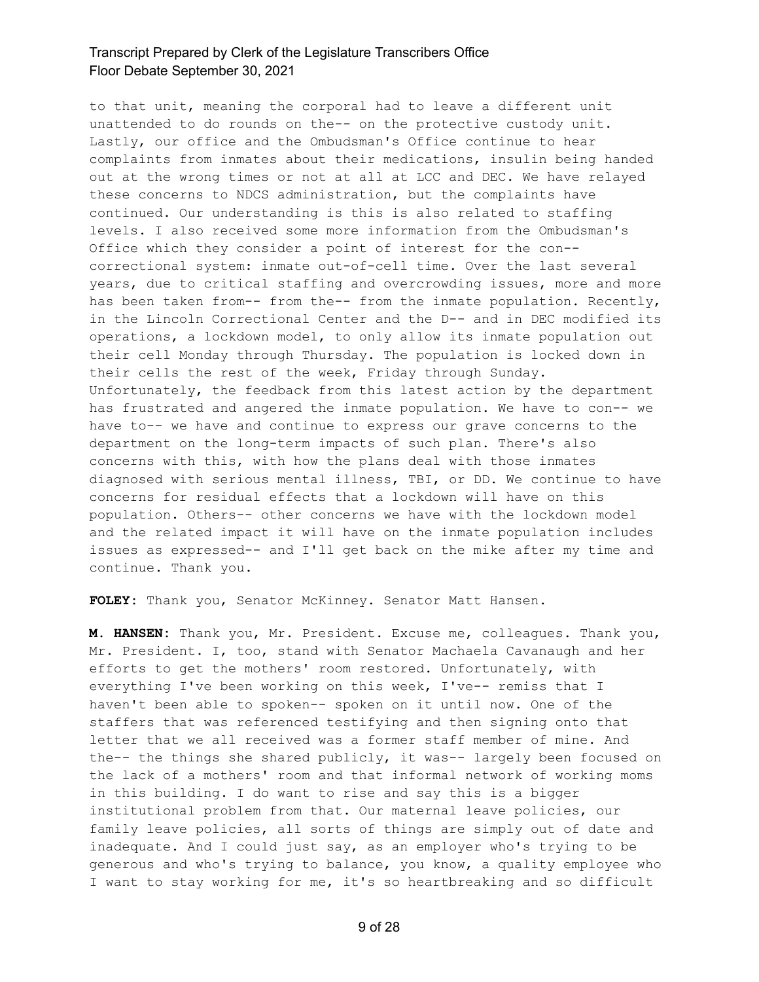to that unit, meaning the corporal had to leave a different unit unattended to do rounds on the-- on the protective custody unit. Lastly, our office and the Ombudsman's Office continue to hear complaints from inmates about their medications, insulin being handed out at the wrong times or not at all at LCC and DEC. We have relayed these concerns to NDCS administration, but the complaints have continued. Our understanding is this is also related to staffing levels. I also received some more information from the Ombudsman's Office which they consider a point of interest for the con- correctional system: inmate out-of-cell time. Over the last several years, due to critical staffing and overcrowding issues, more and more has been taken from-- from the-- from the inmate population. Recently, in the Lincoln Correctional Center and the D-- and in DEC modified its operations, a lockdown model, to only allow its inmate population out their cell Monday through Thursday. The population is locked down in their cells the rest of the week, Friday through Sunday. Unfortunately, the feedback from this latest action by the department has frustrated and angered the inmate population. We have to con-- we have to-- we have and continue to express our grave concerns to the department on the long-term impacts of such plan. There's also concerns with this, with how the plans deal with those inmates diagnosed with serious mental illness, TBI, or DD. We continue to have concerns for residual effects that a lockdown will have on this population. Others-- other concerns we have with the lockdown model and the related impact it will have on the inmate population includes issues as expressed-- and I'll get back on the mike after my time and continue. Thank you.

**FOLEY:** Thank you, Senator McKinney. Senator Matt Hansen.

**M. HANSEN:** Thank you, Mr. President. Excuse me, colleagues. Thank you, Mr. President. I, too, stand with Senator Machaela Cavanaugh and her efforts to get the mothers' room restored. Unfortunately, with everything I've been working on this week, I've-- remiss that I haven't been able to spoken-- spoken on it until now. One of the staffers that was referenced testifying and then signing onto that letter that we all received was a former staff member of mine. And the-- the things she shared publicly, it was-- largely been focused on the lack of a mothers' room and that informal network of working moms in this building. I do want to rise and say this is a bigger institutional problem from that. Our maternal leave policies, our family leave policies, all sorts of things are simply out of date and inadequate. And I could just say, as an employer who's trying to be generous and who's trying to balance, you know, a quality employee who I want to stay working for me, it's so heartbreaking and so difficult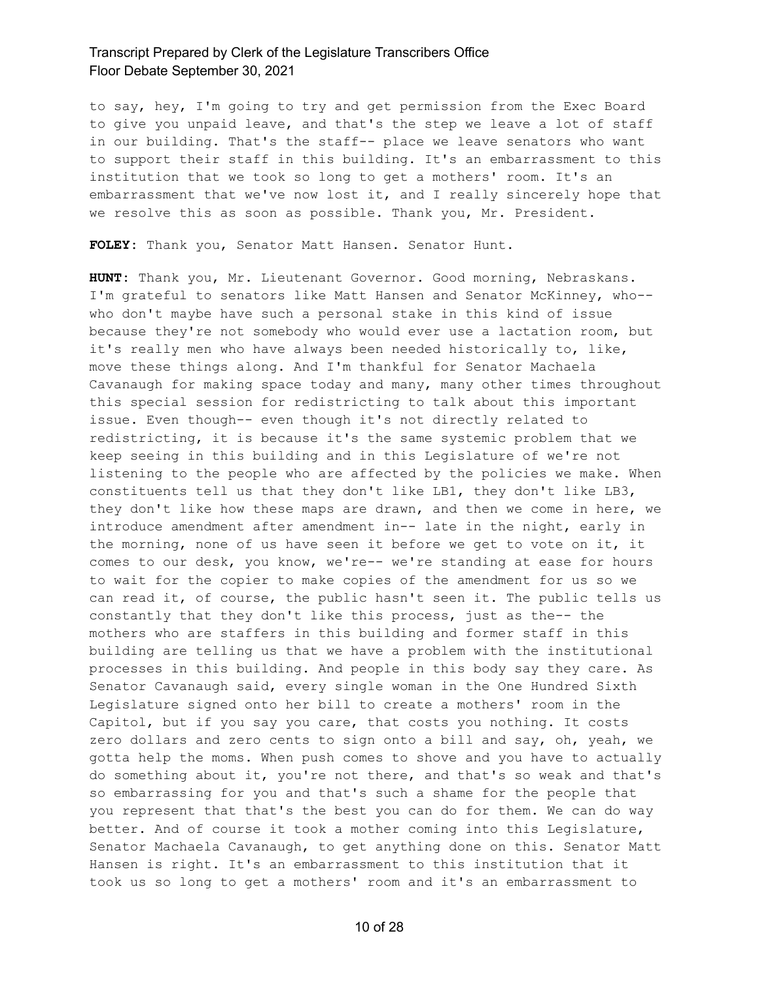to say, hey, I'm going to try and get permission from the Exec Board to give you unpaid leave, and that's the step we leave a lot of staff in our building. That's the staff-- place we leave senators who want to support their staff in this building. It's an embarrassment to this institution that we took so long to get a mothers' room. It's an embarrassment that we've now lost it, and I really sincerely hope that we resolve this as soon as possible. Thank you, Mr. President.

**FOLEY:** Thank you, Senator Matt Hansen. Senator Hunt.

**HUNT:** Thank you, Mr. Lieutenant Governor. Good morning, Nebraskans. I'm grateful to senators like Matt Hansen and Senator McKinney, who- who don't maybe have such a personal stake in this kind of issue because they're not somebody who would ever use a lactation room, but it's really men who have always been needed historically to, like, move these things along. And I'm thankful for Senator Machaela Cavanaugh for making space today and many, many other times throughout this special session for redistricting to talk about this important issue. Even though-- even though it's not directly related to redistricting, it is because it's the same systemic problem that we keep seeing in this building and in this Legislature of we're not listening to the people who are affected by the policies we make. When constituents tell us that they don't like LB1, they don't like LB3, they don't like how these maps are drawn, and then we come in here, we introduce amendment after amendment in-- late in the night, early in the morning, none of us have seen it before we get to vote on it, it comes to our desk, you know, we're-- we're standing at ease for hours to wait for the copier to make copies of the amendment for us so we can read it, of course, the public hasn't seen it. The public tells us constantly that they don't like this process, just as the-- the mothers who are staffers in this building and former staff in this building are telling us that we have a problem with the institutional processes in this building. And people in this body say they care. As Senator Cavanaugh said, every single woman in the One Hundred Sixth Legislature signed onto her bill to create a mothers' room in the Capitol, but if you say you care, that costs you nothing. It costs zero dollars and zero cents to sign onto a bill and say, oh, yeah, we gotta help the moms. When push comes to shove and you have to actually do something about it, you're not there, and that's so weak and that's so embarrassing for you and that's such a shame for the people that you represent that that's the best you can do for them. We can do way better. And of course it took a mother coming into this Legislature, Senator Machaela Cavanaugh, to get anything done on this. Senator Matt Hansen is right. It's an embarrassment to this institution that it took us so long to get a mothers' room and it's an embarrassment to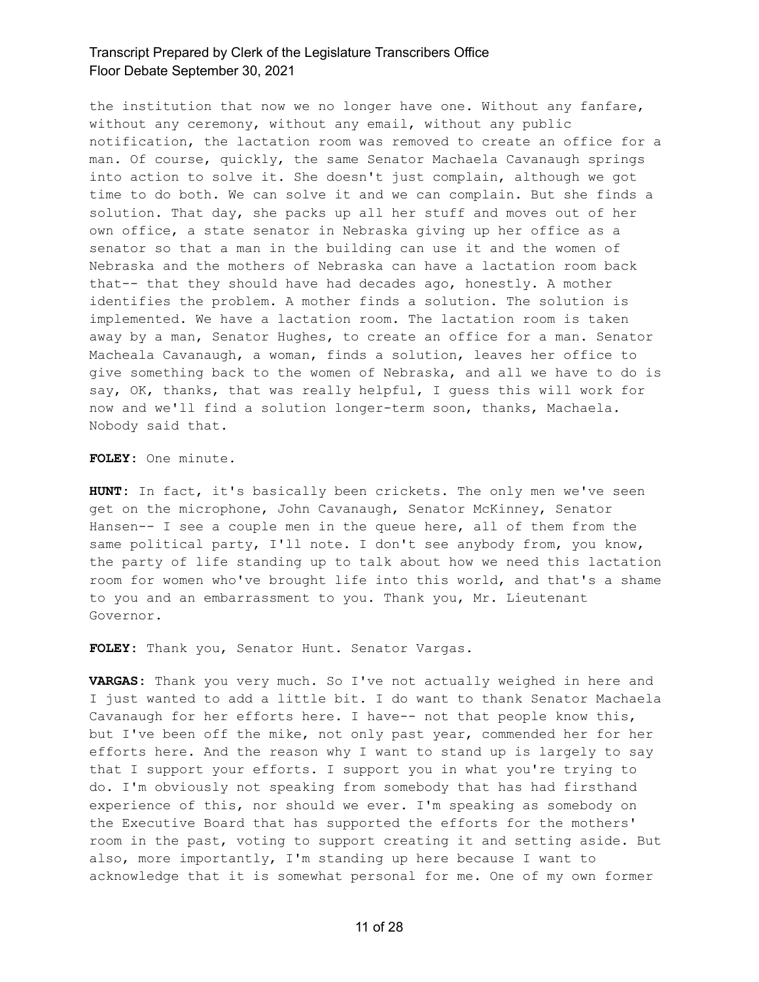the institution that now we no longer have one. Without any fanfare, without any ceremony, without any email, without any public notification, the lactation room was removed to create an office for a man. Of course, quickly, the same Senator Machaela Cavanaugh springs into action to solve it. She doesn't just complain, although we got time to do both. We can solve it and we can complain. But she finds a solution. That day, she packs up all her stuff and moves out of her own office, a state senator in Nebraska giving up her office as a senator so that a man in the building can use it and the women of Nebraska and the mothers of Nebraska can have a lactation room back that-- that they should have had decades ago, honestly. A mother identifies the problem. A mother finds a solution. The solution is implemented. We have a lactation room. The lactation room is taken away by a man, Senator Hughes, to create an office for a man. Senator Macheala Cavanaugh, a woman, finds a solution, leaves her office to give something back to the women of Nebraska, and all we have to do is say, OK, thanks, that was really helpful, I guess this will work for now and we'll find a solution longer-term soon, thanks, Machaela. Nobody said that.

**FOLEY:** One minute.

**HUNT:** In fact, it's basically been crickets. The only men we've seen get on the microphone, John Cavanaugh, Senator McKinney, Senator Hansen-- I see a couple men in the queue here, all of them from the same political party, I'll note. I don't see anybody from, you know, the party of life standing up to talk about how we need this lactation room for women who've brought life into this world, and that's a shame to you and an embarrassment to you. Thank you, Mr. Lieutenant Governor.

**FOLEY:** Thank you, Senator Hunt. Senator Vargas.

**VARGAS:** Thank you very much. So I've not actually weighed in here and I just wanted to add a little bit. I do want to thank Senator Machaela Cavanaugh for her efforts here. I have-- not that people know this, but I've been off the mike, not only past year, commended her for her efforts here. And the reason why I want to stand up is largely to say that I support your efforts. I support you in what you're trying to do. I'm obviously not speaking from somebody that has had firsthand experience of this, nor should we ever. I'm speaking as somebody on the Executive Board that has supported the efforts for the mothers' room in the past, voting to support creating it and setting aside. But also, more importantly, I'm standing up here because I want to acknowledge that it is somewhat personal for me. One of my own former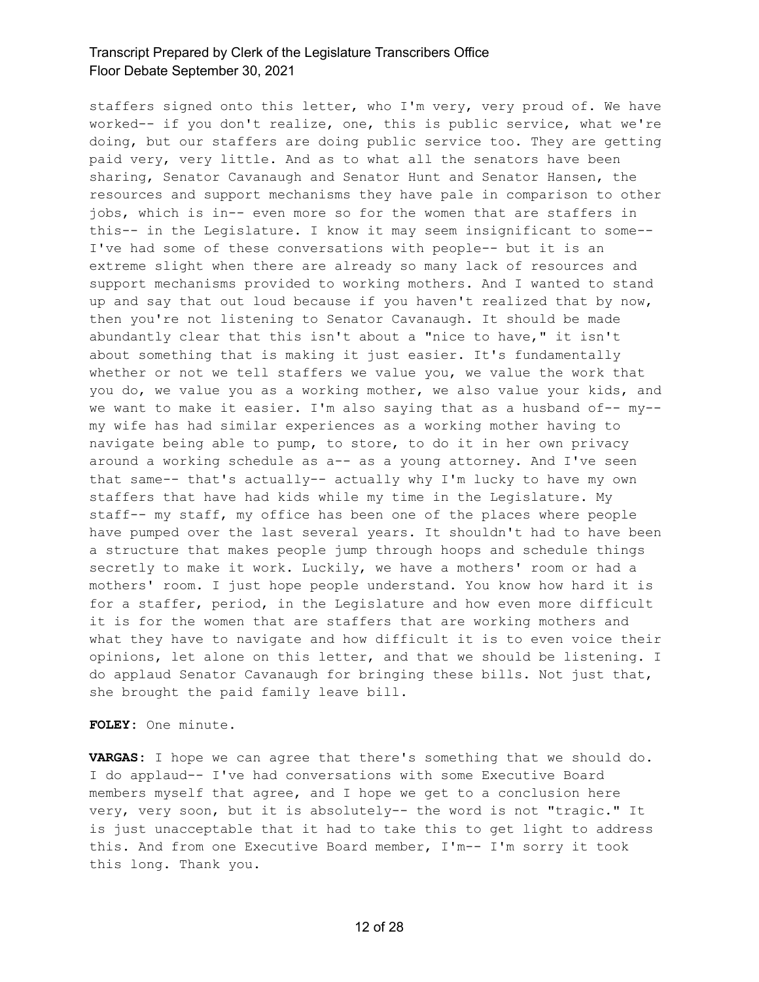staffers signed onto this letter, who I'm very, very proud of. We have worked-- if you don't realize, one, this is public service, what we're doing, but our staffers are doing public service too. They are getting paid very, very little. And as to what all the senators have been sharing, Senator Cavanaugh and Senator Hunt and Senator Hansen, the resources and support mechanisms they have pale in comparison to other jobs, which is in-- even more so for the women that are staffers in this-- in the Legislature. I know it may seem insignificant to some-- I've had some of these conversations with people-- but it is an extreme slight when there are already so many lack of resources and support mechanisms provided to working mothers. And I wanted to stand up and say that out loud because if you haven't realized that by now, then you're not listening to Senator Cavanaugh. It should be made abundantly clear that this isn't about a "nice to have," it isn't about something that is making it just easier. It's fundamentally whether or not we tell staffers we value you, we value the work that you do, we value you as a working mother, we also value your kids, and we want to make it easier. I'm also saying that as a husband of-- my- my wife has had similar experiences as a working mother having to navigate being able to pump, to store, to do it in her own privacy around a working schedule as a-- as a young attorney. And I've seen that same-- that's actually-- actually why I'm lucky to have my own staffers that have had kids while my time in the Legislature. My staff-- my staff, my office has been one of the places where people have pumped over the last several years. It shouldn't had to have been a structure that makes people jump through hoops and schedule things secretly to make it work. Luckily, we have a mothers' room or had a mothers' room. I just hope people understand. You know how hard it is for a staffer, period, in the Legislature and how even more difficult it is for the women that are staffers that are working mothers and what they have to navigate and how difficult it is to even voice their opinions, let alone on this letter, and that we should be listening. I do applaud Senator Cavanaugh for bringing these bills. Not just that, she brought the paid family leave bill.

#### **FOLEY:** One minute.

**VARGAS:** I hope we can agree that there's something that we should do. I do applaud-- I've had conversations with some Executive Board members myself that agree, and I hope we get to a conclusion here very, very soon, but it is absolutely-- the word is not "tragic." It is just unacceptable that it had to take this to get light to address this. And from one Executive Board member, I'm-- I'm sorry it took this long. Thank you.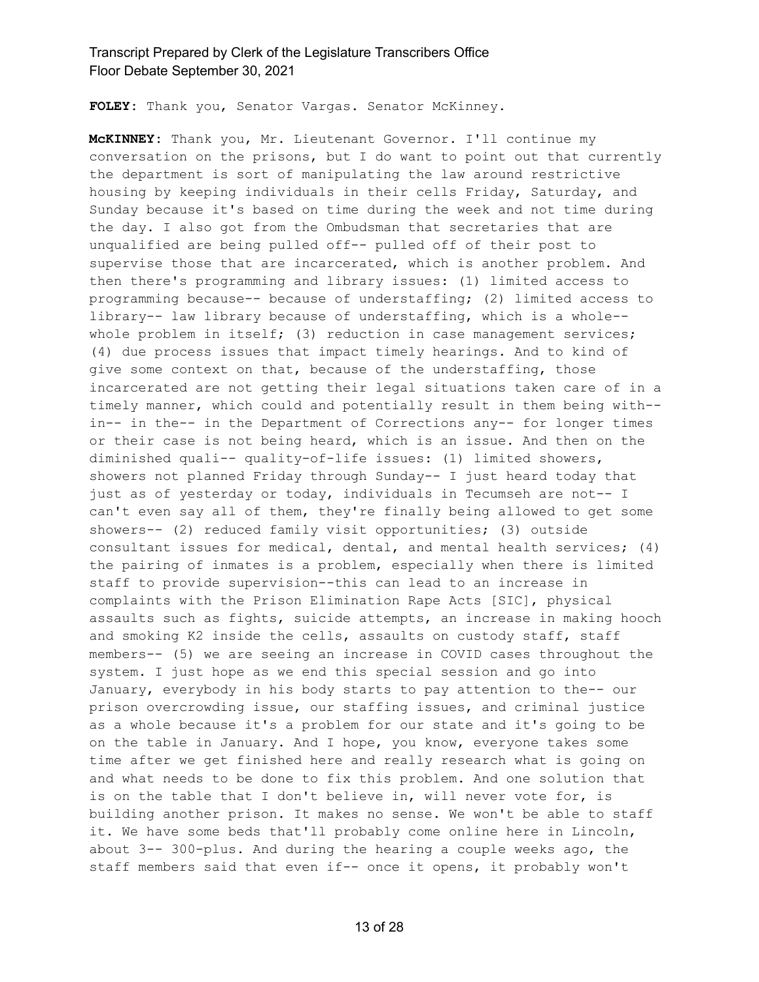**FOLEY:** Thank you, Senator Vargas. Senator McKinney.

**McKINNEY:** Thank you, Mr. Lieutenant Governor. I'll continue my conversation on the prisons, but I do want to point out that currently the department is sort of manipulating the law around restrictive housing by keeping individuals in their cells Friday, Saturday, and Sunday because it's based on time during the week and not time during the day. I also got from the Ombudsman that secretaries that are unqualified are being pulled off-- pulled off of their post to supervise those that are incarcerated, which is another problem. And then there's programming and library issues: (1) limited access to programming because-- because of understaffing; (2) limited access to library-- law library because of understaffing, which is a whole- whole problem in itself; (3) reduction in case management services; (4) due process issues that impact timely hearings. And to kind of give some context on that, because of the understaffing, those incarcerated are not getting their legal situations taken care of in a timely manner, which could and potentially result in them being with- in-- in the-- in the Department of Corrections any-- for longer times or their case is not being heard, which is an issue. And then on the diminished quali-- quality-of-life issues: (1) limited showers, showers not planned Friday through Sunday-- I just heard today that just as of yesterday or today, individuals in Tecumseh are not-- I can't even say all of them, they're finally being allowed to get some showers-- (2) reduced family visit opportunities; (3) outside consultant issues for medical, dental, and mental health services; (4) the pairing of inmates is a problem, especially when there is limited staff to provide supervision--this can lead to an increase in complaints with the Prison Elimination Rape Acts [SIC], physical assaults such as fights, suicide attempts, an increase in making hooch and smoking K2 inside the cells, assaults on custody staff, staff members-- (5) we are seeing an increase in COVID cases throughout the system. I just hope as we end this special session and go into January, everybody in his body starts to pay attention to the-- our prison overcrowding issue, our staffing issues, and criminal justice as a whole because it's a problem for our state and it's going to be on the table in January. And I hope, you know, everyone takes some time after we get finished here and really research what is going on and what needs to be done to fix this problem. And one solution that is on the table that I don't believe in, will never vote for, is building another prison. It makes no sense. We won't be able to staff it. We have some beds that'll probably come online here in Lincoln, about 3-- 300-plus. And during the hearing a couple weeks ago, the staff members said that even if-- once it opens, it probably won't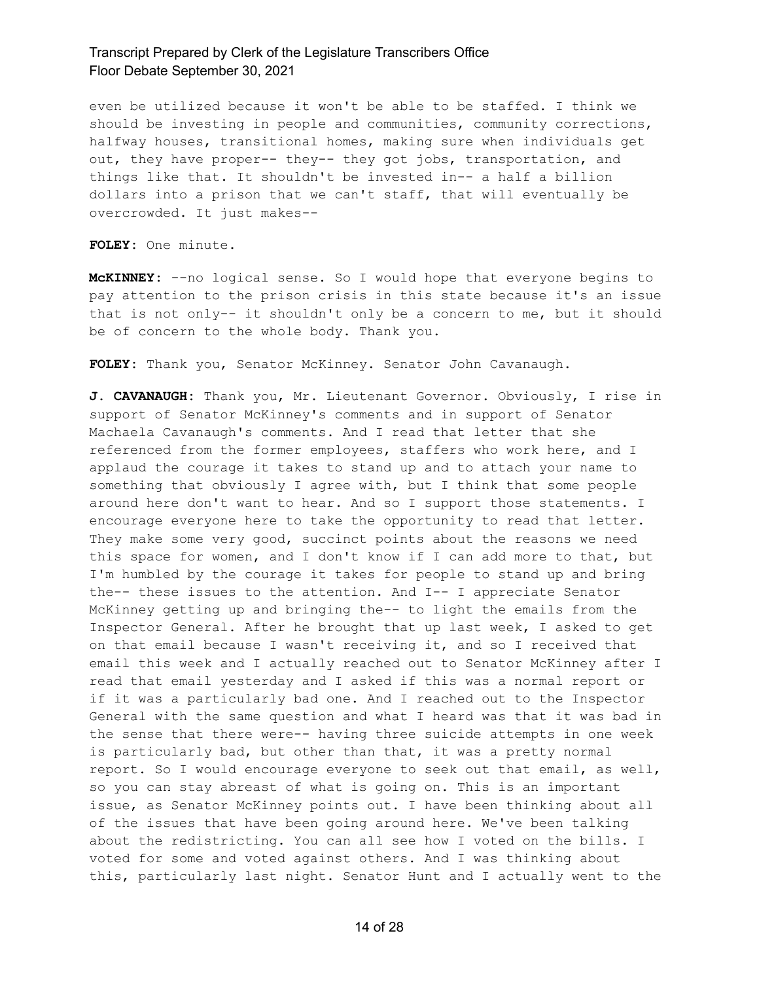even be utilized because it won't be able to be staffed. I think we should be investing in people and communities, community corrections, halfway houses, transitional homes, making sure when individuals get out, they have proper-- they-- they got jobs, transportation, and things like that. It shouldn't be invested in-- a half a billion dollars into a prison that we can't staff, that will eventually be overcrowded. It just makes--

**FOLEY:** One minute.

**McKINNEY:** --no logical sense. So I would hope that everyone begins to pay attention to the prison crisis in this state because it's an issue that is not only-- it shouldn't only be a concern to me, but it should be of concern to the whole body. Thank you.

**FOLEY:** Thank you, Senator McKinney. Senator John Cavanaugh.

**J. CAVANAUGH:** Thank you, Mr. Lieutenant Governor. Obviously, I rise in support of Senator McKinney's comments and in support of Senator Machaela Cavanaugh's comments. And I read that letter that she referenced from the former employees, staffers who work here, and I applaud the courage it takes to stand up and to attach your name to something that obviously I agree with, but I think that some people around here don't want to hear. And so I support those statements. I encourage everyone here to take the opportunity to read that letter. They make some very good, succinct points about the reasons we need this space for women, and I don't know if I can add more to that, but I'm humbled by the courage it takes for people to stand up and bring the-- these issues to the attention. And I-- I appreciate Senator McKinney getting up and bringing the-- to light the emails from the Inspector General. After he brought that up last week, I asked to get on that email because I wasn't receiving it, and so I received that email this week and I actually reached out to Senator McKinney after I read that email yesterday and I asked if this was a normal report or if it was a particularly bad one. And I reached out to the Inspector General with the same question and what I heard was that it was bad in the sense that there were-- having three suicide attempts in one week is particularly bad, but other than that, it was a pretty normal report. So I would encourage everyone to seek out that email, as well, so you can stay abreast of what is going on. This is an important issue, as Senator McKinney points out. I have been thinking about all of the issues that have been going around here. We've been talking about the redistricting. You can all see how I voted on the bills. I voted for some and voted against others. And I was thinking about this, particularly last night. Senator Hunt and I actually went to the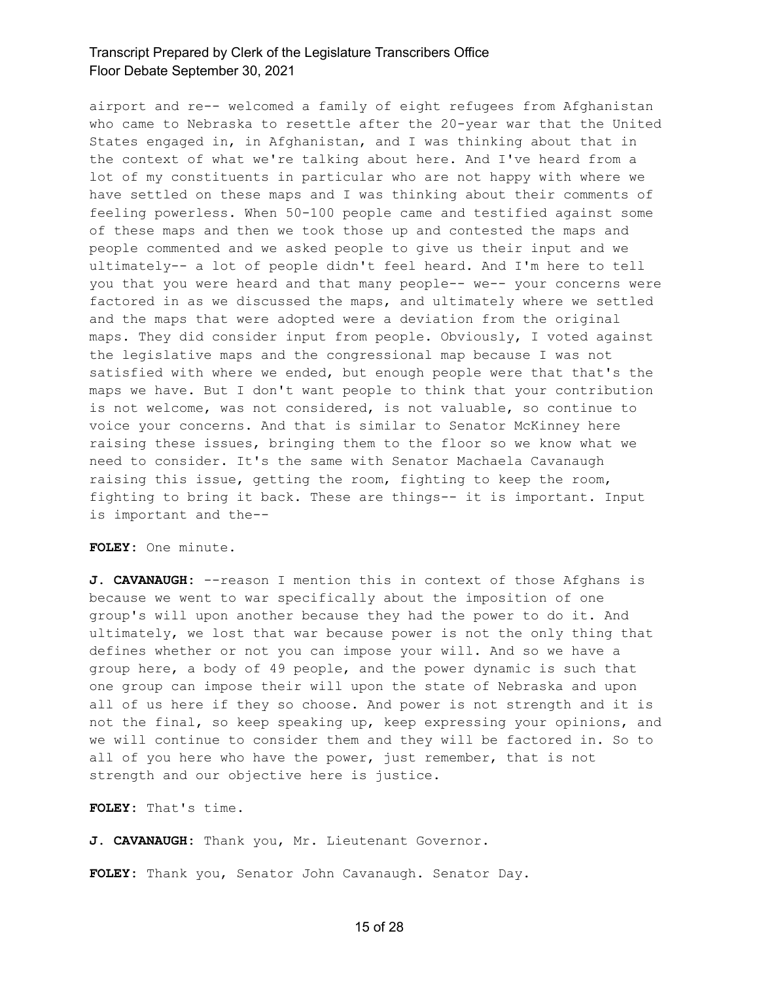airport and re-- welcomed a family of eight refugees from Afghanistan who came to Nebraska to resettle after the 20-year war that the United States engaged in, in Afghanistan, and I was thinking about that in the context of what we're talking about here. And I've heard from a lot of my constituents in particular who are not happy with where we have settled on these maps and I was thinking about their comments of feeling powerless. When 50-100 people came and testified against some of these maps and then we took those up and contested the maps and people commented and we asked people to give us their input and we ultimately-- a lot of people didn't feel heard. And I'm here to tell you that you were heard and that many people-- we-- your concerns were factored in as we discussed the maps, and ultimately where we settled and the maps that were adopted were a deviation from the original maps. They did consider input from people. Obviously, I voted against the legislative maps and the congressional map because I was not satisfied with where we ended, but enough people were that that's the maps we have. But I don't want people to think that your contribution is not welcome, was not considered, is not valuable, so continue to voice your concerns. And that is similar to Senator McKinney here raising these issues, bringing them to the floor so we know what we need to consider. It's the same with Senator Machaela Cavanaugh raising this issue, getting the room, fighting to keep the room, fighting to bring it back. These are things-- it is important. Input is important and the--

**FOLEY:** One minute.

**J. CAVANAUGH:** --reason I mention this in context of those Afghans is because we went to war specifically about the imposition of one group's will upon another because they had the power to do it. And ultimately, we lost that war because power is not the only thing that defines whether or not you can impose your will. And so we have a group here, a body of 49 people, and the power dynamic is such that one group can impose their will upon the state of Nebraska and upon all of us here if they so choose. And power is not strength and it is not the final, so keep speaking up, keep expressing your opinions, and we will continue to consider them and they will be factored in. So to all of you here who have the power, just remember, that is not strength and our objective here is justice.

**FOLEY:** That's time.

**J. CAVANAUGH:** Thank you, Mr. Lieutenant Governor.

**FOLEY:** Thank you, Senator John Cavanaugh. Senator Day.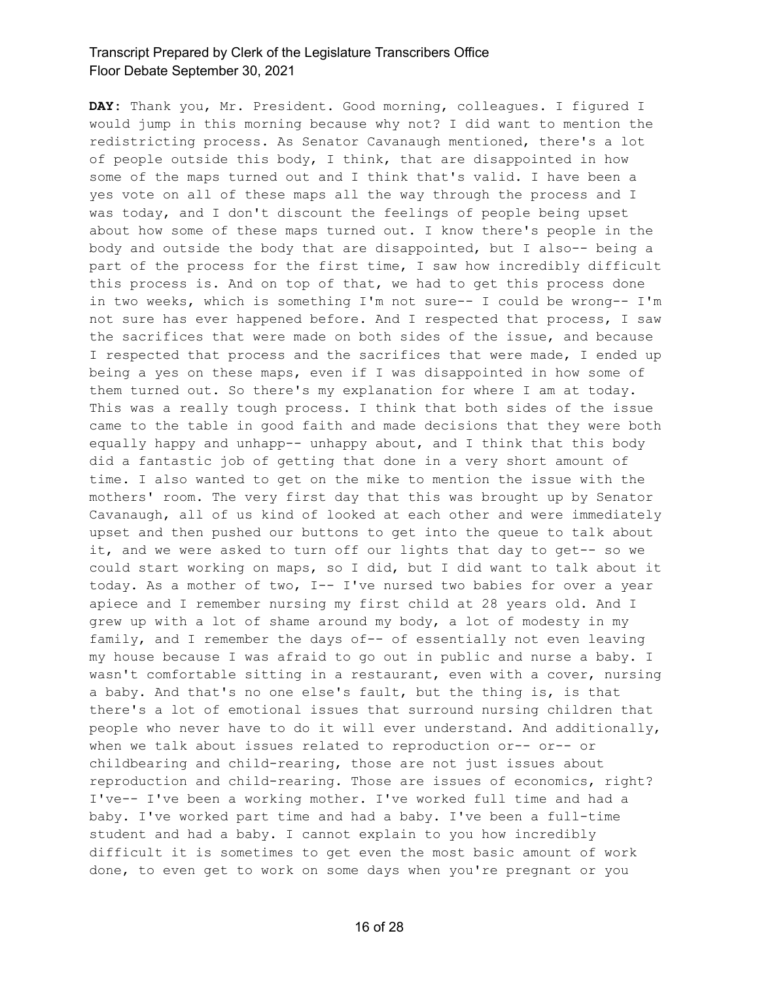**DAY:** Thank you, Mr. President. Good morning, colleagues. I figured I would jump in this morning because why not? I did want to mention the redistricting process. As Senator Cavanaugh mentioned, there's a lot of people outside this body, I think, that are disappointed in how some of the maps turned out and I think that's valid. I have been a yes vote on all of these maps all the way through the process and I was today, and I don't discount the feelings of people being upset about how some of these maps turned out. I know there's people in the body and outside the body that are disappointed, but I also-- being a part of the process for the first time, I saw how incredibly difficult this process is. And on top of that, we had to get this process done in two weeks, which is something I'm not sure-- I could be wrong-- I'm not sure has ever happened before. And I respected that process, I saw the sacrifices that were made on both sides of the issue, and because I respected that process and the sacrifices that were made, I ended up being a yes on these maps, even if I was disappointed in how some of them turned out. So there's my explanation for where I am at today. This was a really tough process. I think that both sides of the issue came to the table in good faith and made decisions that they were both equally happy and unhapp-- unhappy about, and I think that this body did a fantastic job of getting that done in a very short amount of time. I also wanted to get on the mike to mention the issue with the mothers' room. The very first day that this was brought up by Senator Cavanaugh, all of us kind of looked at each other and were immediately upset and then pushed our buttons to get into the queue to talk about it, and we were asked to turn off our lights that day to get-- so we could start working on maps, so I did, but I did want to talk about it today. As a mother of two, I-- I've nursed two babies for over a year apiece and I remember nursing my first child at 28 years old. And I grew up with a lot of shame around my body, a lot of modesty in my family, and I remember the days of-- of essentially not even leaving my house because I was afraid to go out in public and nurse a baby. I wasn't comfortable sitting in a restaurant, even with a cover, nursing a baby. And that's no one else's fault, but the thing is, is that there's a lot of emotional issues that surround nursing children that people who never have to do it will ever understand. And additionally, when we talk about issues related to reproduction or-- or-- or childbearing and child-rearing, those are not just issues about reproduction and child-rearing. Those are issues of economics, right? I've-- I've been a working mother. I've worked full time and had a baby. I've worked part time and had a baby. I've been a full-time student and had a baby. I cannot explain to you how incredibly difficult it is sometimes to get even the most basic amount of work done, to even get to work on some days when you're pregnant or you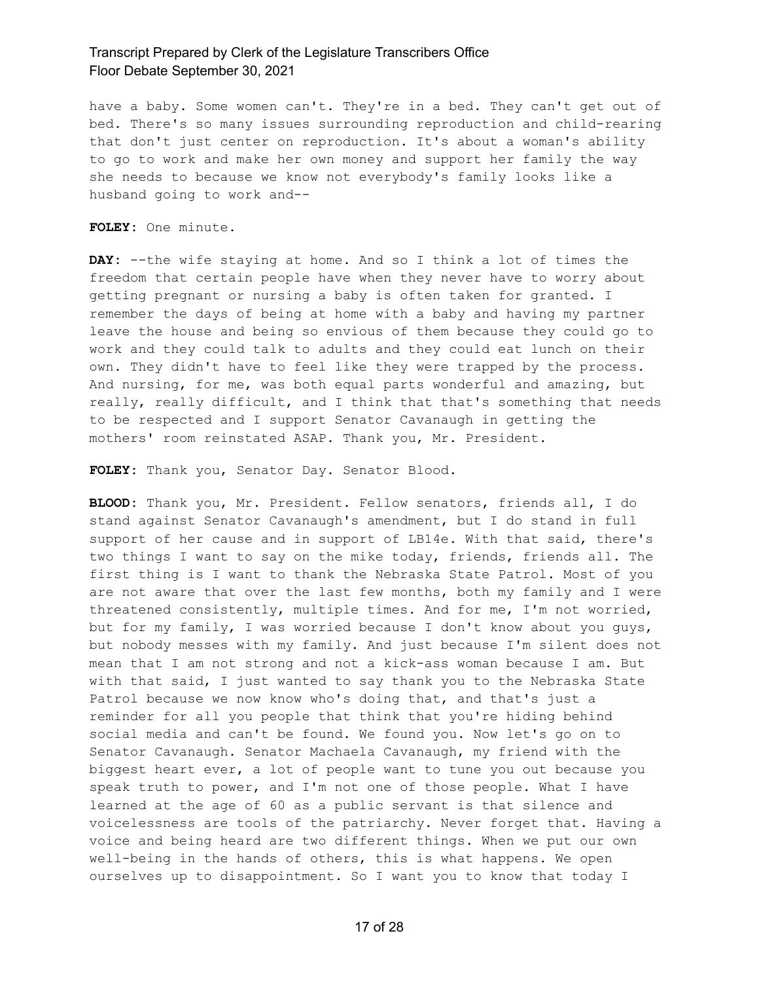have a baby. Some women can't. They're in a bed. They can't get out of bed. There's so many issues surrounding reproduction and child-rearing that don't just center on reproduction. It's about a woman's ability to go to work and make her own money and support her family the way she needs to because we know not everybody's family looks like a husband going to work and--

**FOLEY:** One minute.

**DAY:** --the wife staying at home. And so I think a lot of times the freedom that certain people have when they never have to worry about getting pregnant or nursing a baby is often taken for granted. I remember the days of being at home with a baby and having my partner leave the house and being so envious of them because they could go to work and they could talk to adults and they could eat lunch on their own. They didn't have to feel like they were trapped by the process. And nursing, for me, was both equal parts wonderful and amazing, but really, really difficult, and I think that that's something that needs to be respected and I support Senator Cavanaugh in getting the mothers' room reinstated ASAP. Thank you, Mr. President.

**FOLEY:** Thank you, Senator Day. Senator Blood.

**BLOOD:** Thank you, Mr. President. Fellow senators, friends all, I do stand against Senator Cavanaugh's amendment, but I do stand in full support of her cause and in support of LB14e. With that said, there's two things I want to say on the mike today, friends, friends all. The first thing is I want to thank the Nebraska State Patrol. Most of you are not aware that over the last few months, both my family and I were threatened consistently, multiple times. And for me, I'm not worried, but for my family, I was worried because I don't know about you guys, but nobody messes with my family. And just because I'm silent does not mean that I am not strong and not a kick-ass woman because I am. But with that said, I just wanted to say thank you to the Nebraska State Patrol because we now know who's doing that, and that's just a reminder for all you people that think that you're hiding behind social media and can't be found. We found you. Now let's go on to Senator Cavanaugh. Senator Machaela Cavanaugh, my friend with the biggest heart ever, a lot of people want to tune you out because you speak truth to power, and I'm not one of those people. What I have learned at the age of 60 as a public servant is that silence and voicelessness are tools of the patriarchy. Never forget that. Having a voice and being heard are two different things. When we put our own well-being in the hands of others, this is what happens. We open ourselves up to disappointment. So I want you to know that today I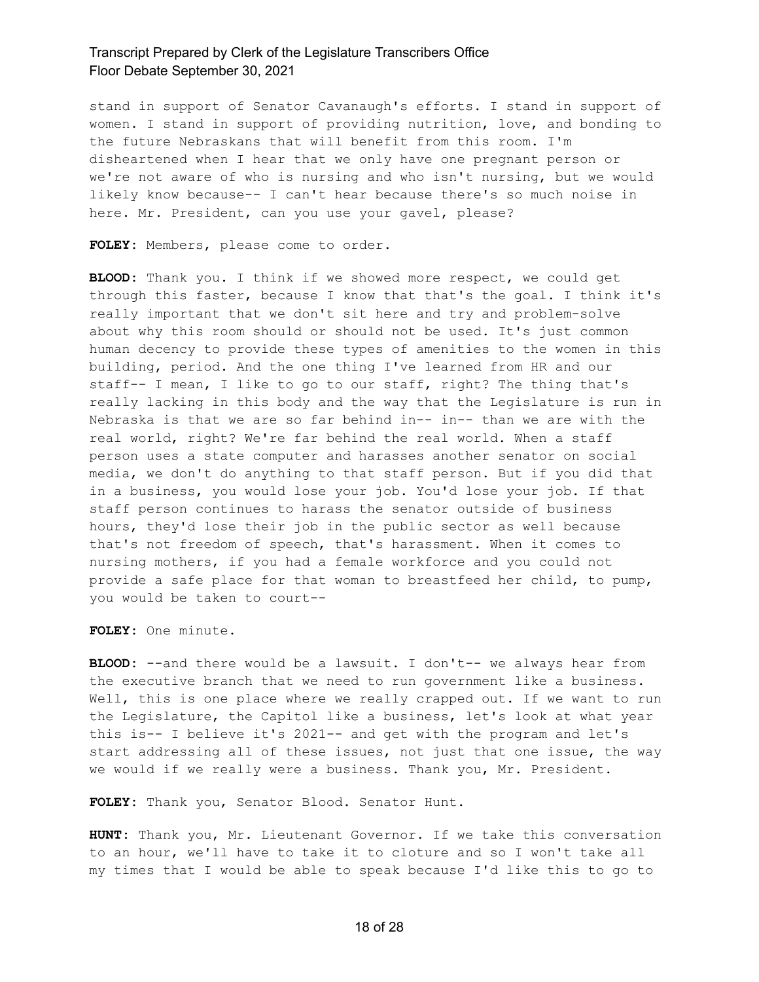stand in support of Senator Cavanaugh's efforts. I stand in support of women. I stand in support of providing nutrition, love, and bonding to the future Nebraskans that will benefit from this room. I'm disheartened when I hear that we only have one pregnant person or we're not aware of who is nursing and who isn't nursing, but we would likely know because-- I can't hear because there's so much noise in here. Mr. President, can you use your gavel, please?

**FOLEY:** Members, please come to order.

**BLOOD:** Thank you. I think if we showed more respect, we could get through this faster, because I know that that's the goal. I think it's really important that we don't sit here and try and problem-solve about why this room should or should not be used. It's just common human decency to provide these types of amenities to the women in this building, period. And the one thing I've learned from HR and our staff-- I mean, I like to go to our staff, right? The thing that's really lacking in this body and the way that the Legislature is run in Nebraska is that we are so far behind in-- in-- than we are with the real world, right? We're far behind the real world. When a staff person uses a state computer and harasses another senator on social media, we don't do anything to that staff person. But if you did that in a business, you would lose your job. You'd lose your job. If that staff person continues to harass the senator outside of business hours, they'd lose their job in the public sector as well because that's not freedom of speech, that's harassment. When it comes to nursing mothers, if you had a female workforce and you could not provide a safe place for that woman to breastfeed her child, to pump, you would be taken to court--

**FOLEY:** One minute.

**BLOOD:** --and there would be a lawsuit. I don't-- we always hear from the executive branch that we need to run government like a business. Well, this is one place where we really crapped out. If we want to run the Legislature, the Capitol like a business, let's look at what year this is-- I believe it's 2021-- and get with the program and let's start addressing all of these issues, not just that one issue, the way we would if we really were a business. Thank you, Mr. President.

**FOLEY:** Thank you, Senator Blood. Senator Hunt.

**HUNT:** Thank you, Mr. Lieutenant Governor. If we take this conversation to an hour, we'll have to take it to cloture and so I won't take all my times that I would be able to speak because I'd like this to go to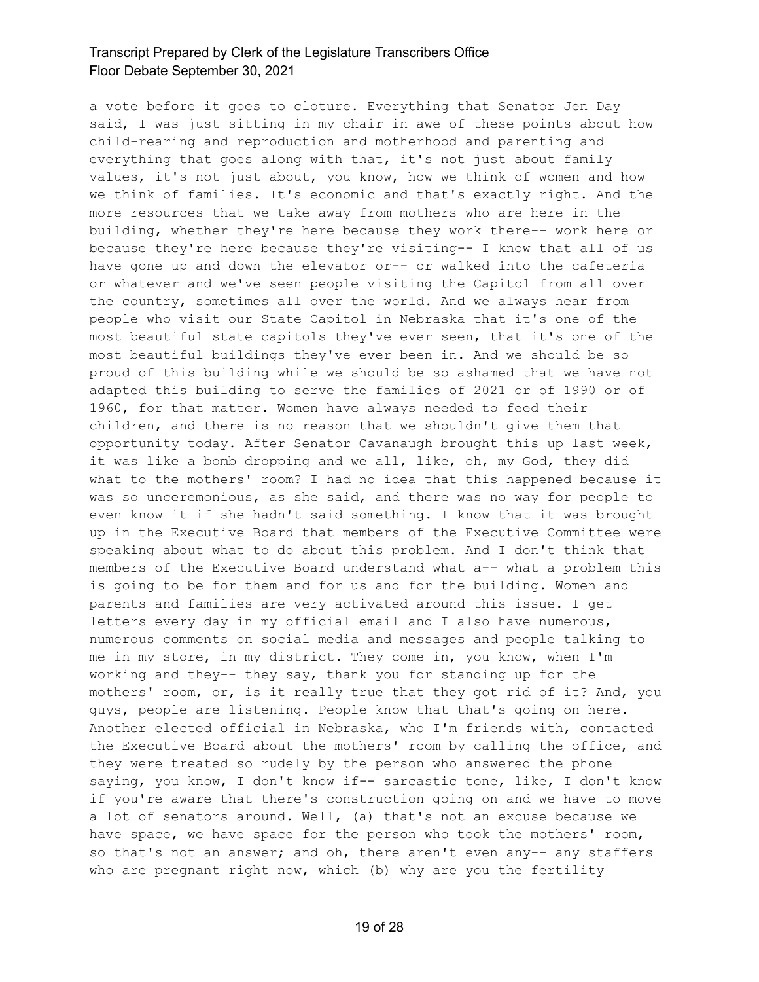a vote before it goes to cloture. Everything that Senator Jen Day said, I was just sitting in my chair in awe of these points about how child-rearing and reproduction and motherhood and parenting and everything that goes along with that, it's not just about family values, it's not just about, you know, how we think of women and how we think of families. It's economic and that's exactly right. And the more resources that we take away from mothers who are here in the building, whether they're here because they work there-- work here or because they're here because they're visiting-- I know that all of us have gone up and down the elevator or-- or walked into the cafeteria or whatever and we've seen people visiting the Capitol from all over the country, sometimes all over the world. And we always hear from people who visit our State Capitol in Nebraska that it's one of the most beautiful state capitols they've ever seen, that it's one of the most beautiful buildings they've ever been in. And we should be so proud of this building while we should be so ashamed that we have not adapted this building to serve the families of 2021 or of 1990 or of 1960, for that matter. Women have always needed to feed their children, and there is no reason that we shouldn't give them that opportunity today. After Senator Cavanaugh brought this up last week, it was like a bomb dropping and we all, like, oh, my God, they did what to the mothers' room? I had no idea that this happened because it was so unceremonious, as she said, and there was no way for people to even know it if she hadn't said something. I know that it was brought up in the Executive Board that members of the Executive Committee were speaking about what to do about this problem. And I don't think that members of the Executive Board understand what a-- what a problem this is going to be for them and for us and for the building. Women and parents and families are very activated around this issue. I get letters every day in my official email and I also have numerous, numerous comments on social media and messages and people talking to me in my store, in my district. They come in, you know, when I'm working and they-- they say, thank you for standing up for the mothers' room, or, is it really true that they got rid of it? And, you guys, people are listening. People know that that's going on here. Another elected official in Nebraska, who I'm friends with, contacted the Executive Board about the mothers' room by calling the office, and they were treated so rudely by the person who answered the phone saying, you know, I don't know if-- sarcastic tone, like, I don't know if you're aware that there's construction going on and we have to move a lot of senators around. Well, (a) that's not an excuse because we have space, we have space for the person who took the mothers' room, so that's not an answer; and oh, there aren't even any-- any staffers who are pregnant right now, which (b) why are you the fertility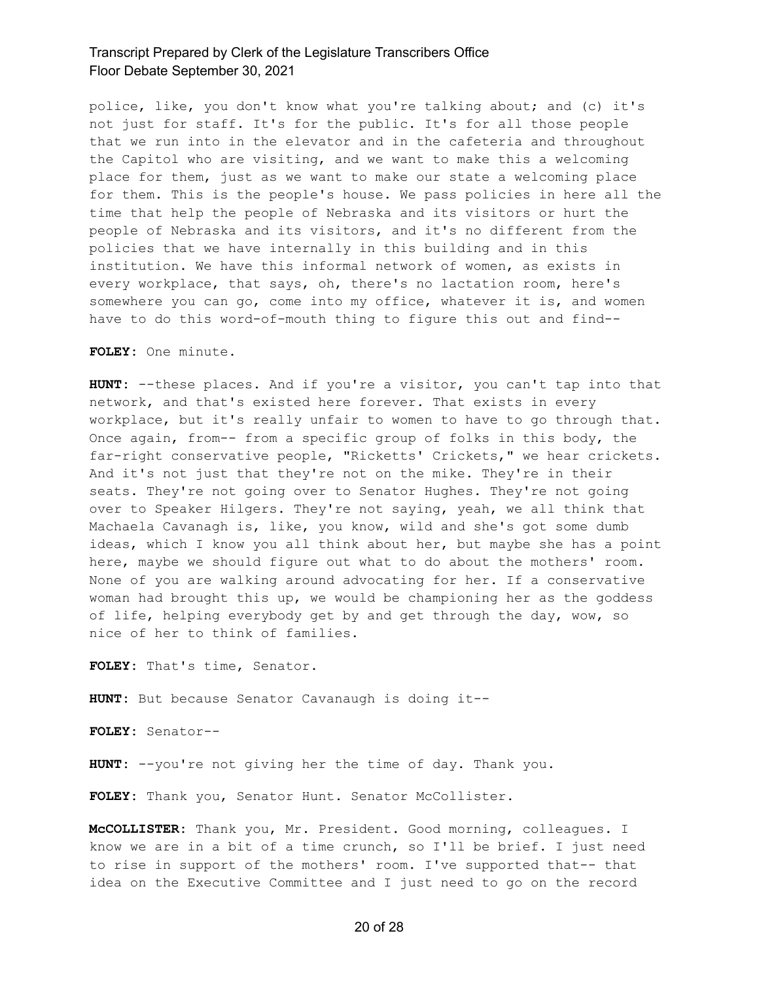police, like, you don't know what you're talking about; and (c) it's not just for staff. It's for the public. It's for all those people that we run into in the elevator and in the cafeteria and throughout the Capitol who are visiting, and we want to make this a welcoming place for them, just as we want to make our state a welcoming place for them. This is the people's house. We pass policies in here all the time that help the people of Nebraska and its visitors or hurt the people of Nebraska and its visitors, and it's no different from the policies that we have internally in this building and in this institution. We have this informal network of women, as exists in every workplace, that says, oh, there's no lactation room, here's somewhere you can go, come into my office, whatever it is, and women have to do this word-of-mouth thing to figure this out and find--

**FOLEY:** One minute.

**HUNT:** --these places. And if you're a visitor, you can't tap into that network, and that's existed here forever. That exists in every workplace, but it's really unfair to women to have to go through that. Once again, from-- from a specific group of folks in this body, the far-right conservative people, "Ricketts' Crickets," we hear crickets. And it's not just that they're not on the mike. They're in their seats. They're not going over to Senator Hughes. They're not going over to Speaker Hilgers. They're not saying, yeah, we all think that Machaela Cavanagh is, like, you know, wild and she's got some dumb ideas, which I know you all think about her, but maybe she has a point here, maybe we should figure out what to do about the mothers' room. None of you are walking around advocating for her. If a conservative woman had brought this up, we would be championing her as the goddess of life, helping everybody get by and get through the day, wow, so nice of her to think of families.

**FOLEY:** That's time, Senator.

**HUNT:** But because Senator Cavanaugh is doing it--

**FOLEY:** Senator--

**HUNT:** --you're not giving her the time of day. Thank you.

FOLEY: Thank you, Senator Hunt. Senator McCollister.

**McCOLLISTER:** Thank you, Mr. President. Good morning, colleagues. I know we are in a bit of a time crunch, so I'll be brief. I just need to rise in support of the mothers' room. I've supported that-- that idea on the Executive Committee and I just need to go on the record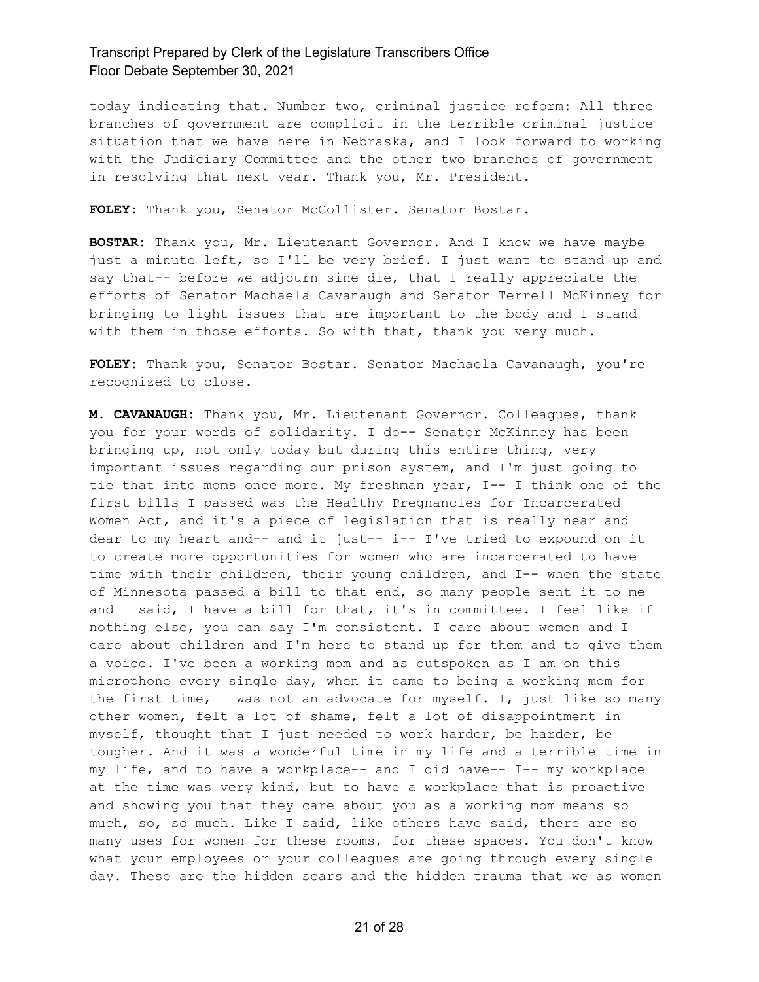today indicating that. Number two, criminal justice reform: All three branches of government are complicit in the terrible criminal justice situation that we have here in Nebraska, and I look forward to working with the Judiciary Committee and the other two branches of government in resolving that next year. Thank you, Mr. President.

**FOLEY:** Thank you, Senator McCollister. Senator Bostar.

**BOSTAR:** Thank you, Mr. Lieutenant Governor. And I know we have maybe just a minute left, so I'll be very brief. I just want to stand up and say that-- before we adjourn sine die, that I really appreciate the efforts of Senator Machaela Cavanaugh and Senator Terrell McKinney for bringing to light issues that are important to the body and I stand with them in those efforts. So with that, thank you very much.

**FOLEY:** Thank you, Senator Bostar. Senator Machaela Cavanaugh, you're recognized to close.

**M. CAVANAUGH:** Thank you, Mr. Lieutenant Governor. Colleagues, thank you for your words of solidarity. I do-- Senator McKinney has been bringing up, not only today but during this entire thing, very important issues regarding our prison system, and I'm just going to tie that into moms once more. My freshman year, I-- I think one of the first bills I passed was the Healthy Pregnancies for Incarcerated Women Act, and it's a piece of legislation that is really near and dear to my heart and-- and it just-- i-- I've tried to expound on it to create more opportunities for women who are incarcerated to have time with their children, their young children, and I-- when the state of Minnesota passed a bill to that end, so many people sent it to me and I said, I have a bill for that, it's in committee. I feel like if nothing else, you can say I'm consistent. I care about women and I care about children and I'm here to stand up for them and to give them a voice. I've been a working mom and as outspoken as I am on this microphone every single day, when it came to being a working mom for the first time, I was not an advocate for myself. I, just like so many other women, felt a lot of shame, felt a lot of disappointment in myself, thought that I just needed to work harder, be harder, be tougher. And it was a wonderful time in my life and a terrible time in my life, and to have a workplace-- and I did have-- I-- my workplace at the time was very kind, but to have a workplace that is proactive and showing you that they care about you as a working mom means so much, so, so much. Like I said, like others have said, there are so many uses for women for these rooms, for these spaces. You don't know what your employees or your colleagues are going through every single day. These are the hidden scars and the hidden trauma that we as women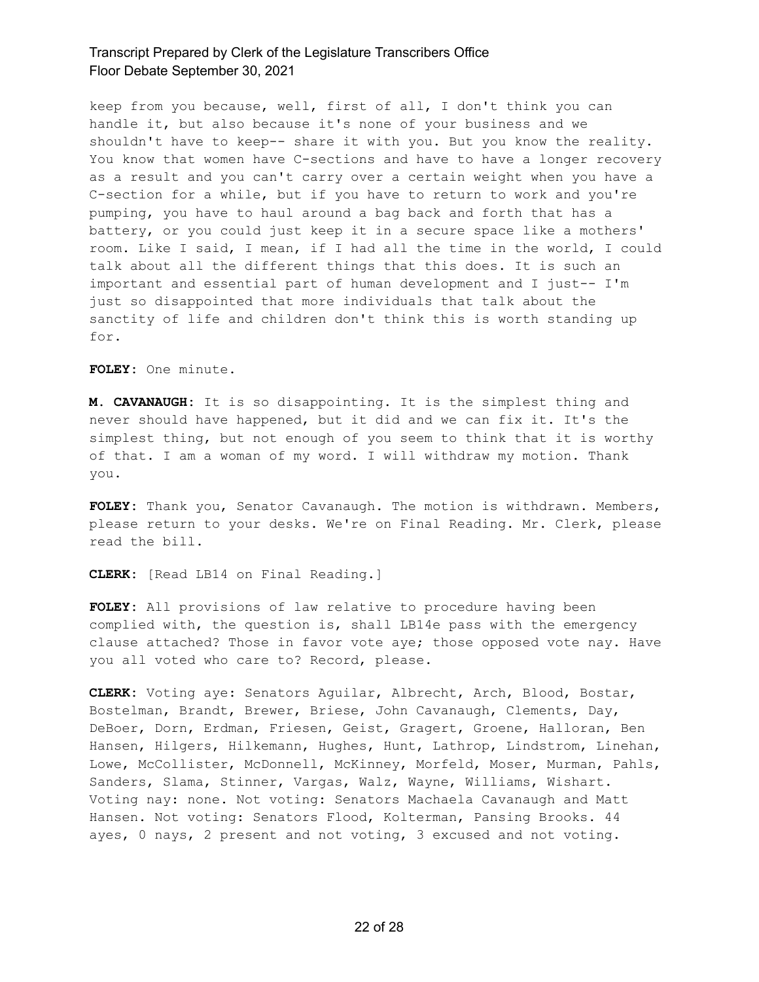keep from you because, well, first of all, I don't think you can handle it, but also because it's none of your business and we shouldn't have to keep-- share it with you. But you know the reality. You know that women have C-sections and have to have a longer recovery as a result and you can't carry over a certain weight when you have a C-section for a while, but if you have to return to work and you're pumping, you have to haul around a bag back and forth that has a battery, or you could just keep it in a secure space like a mothers' room. Like I said, I mean, if I had all the time in the world, I could talk about all the different things that this does. It is such an important and essential part of human development and I just-- I'm just so disappointed that more individuals that talk about the sanctity of life and children don't think this is worth standing up for.

**FOLEY:** One minute.

**M. CAVANAUGH:** It is so disappointing. It is the simplest thing and never should have happened, but it did and we can fix it. It's the simplest thing, but not enough of you seem to think that it is worthy of that. I am a woman of my word. I will withdraw my motion. Thank you.

**FOLEY:** Thank you, Senator Cavanaugh. The motion is withdrawn. Members, please return to your desks. We're on Final Reading. Mr. Clerk, please read the bill.

**CLERK:** [Read LB14 on Final Reading.]

**FOLEY:** All provisions of law relative to procedure having been complied with, the question is, shall LB14e pass with the emergency clause attached? Those in favor vote aye; those opposed vote nay. Have you all voted who care to? Record, please.

**CLERK:** Voting aye: Senators Aguilar, Albrecht, Arch, Blood, Bostar, Bostelman, Brandt, Brewer, Briese, John Cavanaugh, Clements, Day, DeBoer, Dorn, Erdman, Friesen, Geist, Gragert, Groene, Halloran, Ben Hansen, Hilgers, Hilkemann, Hughes, Hunt, Lathrop, Lindstrom, Linehan, Lowe, McCollister, McDonnell, McKinney, Morfeld, Moser, Murman, Pahls, Sanders, Slama, Stinner, Vargas, Walz, Wayne, Williams, Wishart. Voting nay: none. Not voting: Senators Machaela Cavanaugh and Matt Hansen. Not voting: Senators Flood, Kolterman, Pansing Brooks. 44 ayes, 0 nays, 2 present and not voting, 3 excused and not voting.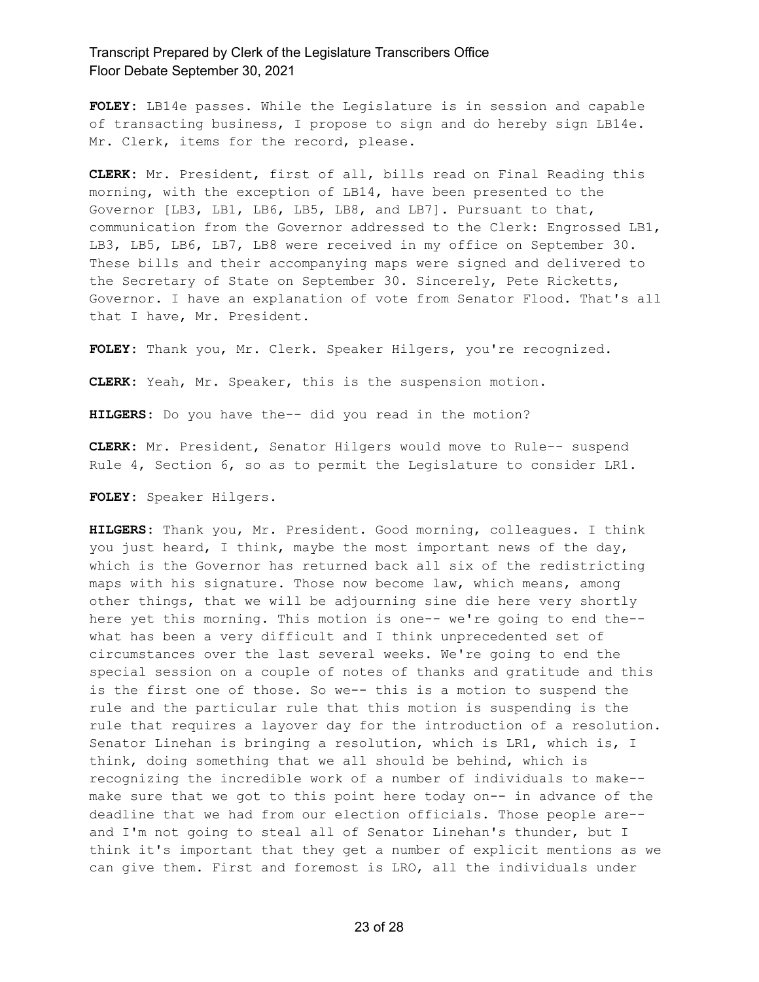**FOLEY:** LB14e passes. While the Legislature is in session and capable of transacting business, I propose to sign and do hereby sign LB14e. Mr. Clerk, items for the record, please.

**CLERK:** Mr. President, first of all, bills read on Final Reading this morning, with the exception of LB14, have been presented to the Governor [LB3, LB1, LB6, LB5, LB8, and LB7]. Pursuant to that, communication from the Governor addressed to the Clerk: Engrossed LB1, LB3, LB5, LB6, LB7, LB8 were received in my office on September 30. These bills and their accompanying maps were signed and delivered to the Secretary of State on September 30. Sincerely, Pete Ricketts, Governor. I have an explanation of vote from Senator Flood. That's all that I have, Mr. President.

**FOLEY:** Thank you, Mr. Clerk. Speaker Hilgers, you're recognized.

**CLERK:** Yeah, Mr. Speaker, this is the suspension motion.

**HILGERS:** Do you have the-- did you read in the motion?

**CLERK:** Mr. President, Senator Hilgers would move to Rule-- suspend Rule 4, Section 6, so as to permit the Legislature to consider LR1.

**FOLEY:** Speaker Hilgers.

**HILGERS:** Thank you, Mr. President. Good morning, colleagues. I think you just heard, I think, maybe the most important news of the day, which is the Governor has returned back all six of the redistricting maps with his signature. Those now become law, which means, among other things, that we will be adjourning sine die here very shortly here yet this morning. This motion is one-- we're going to end the- what has been a very difficult and I think unprecedented set of circumstances over the last several weeks. We're going to end the special session on a couple of notes of thanks and gratitude and this is the first one of those. So we-- this is a motion to suspend the rule and the particular rule that this motion is suspending is the rule that requires a layover day for the introduction of a resolution. Senator Linehan is bringing a resolution, which is LR1, which is, I think, doing something that we all should be behind, which is recognizing the incredible work of a number of individuals to make- make sure that we got to this point here today on-- in advance of the deadline that we had from our election officials. Those people are- and I'm not going to steal all of Senator Linehan's thunder, but I think it's important that they get a number of explicit mentions as we can give them. First and foremost is LRO, all the individuals under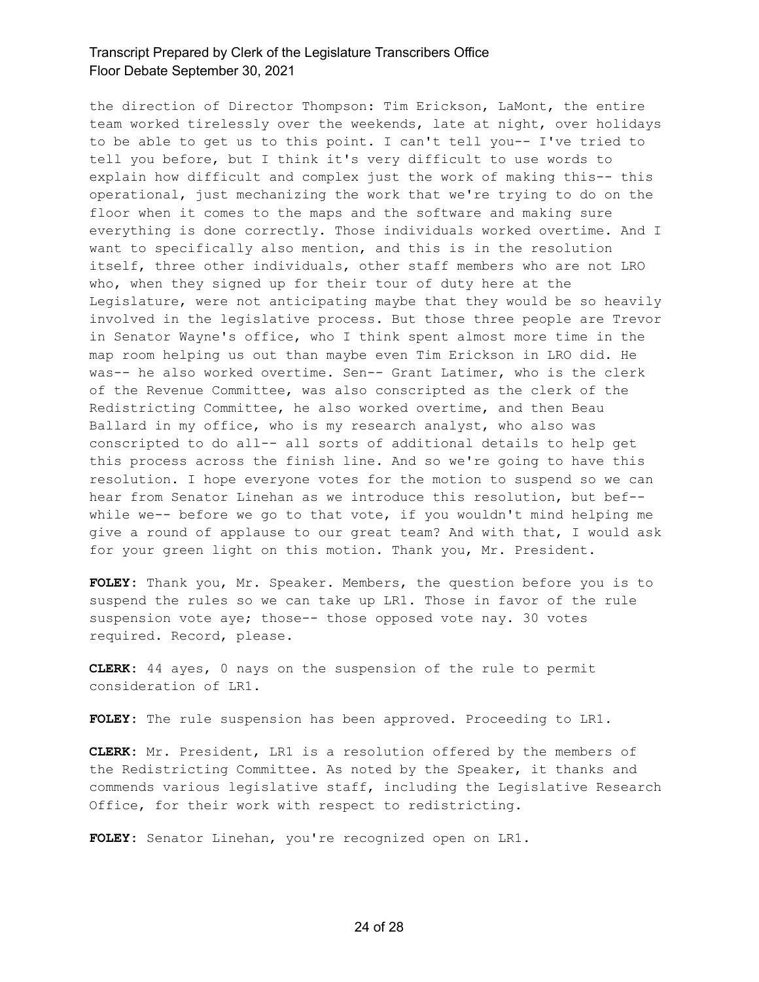the direction of Director Thompson: Tim Erickson, LaMont, the entire team worked tirelessly over the weekends, late at night, over holidays to be able to get us to this point. I can't tell you-- I've tried to tell you before, but I think it's very difficult to use words to explain how difficult and complex just the work of making this-- this operational, just mechanizing the work that we're trying to do on the floor when it comes to the maps and the software and making sure everything is done correctly. Those individuals worked overtime. And I want to specifically also mention, and this is in the resolution itself, three other individuals, other staff members who are not LRO who, when they signed up for their tour of duty here at the Legislature, were not anticipating maybe that they would be so heavily involved in the legislative process. But those three people are Trevor in Senator Wayne's office, who I think spent almost more time in the map room helping us out than maybe even Tim Erickson in LRO did. He was-- he also worked overtime. Sen-- Grant Latimer, who is the clerk of the Revenue Committee, was also conscripted as the clerk of the Redistricting Committee, he also worked overtime, and then Beau Ballard in my office, who is my research analyst, who also was conscripted to do all-- all sorts of additional details to help get this process across the finish line. And so we're going to have this resolution. I hope everyone votes for the motion to suspend so we can hear from Senator Linehan as we introduce this resolution, but bef- while we-- before we go to that vote, if you wouldn't mind helping me give a round of applause to our great team? And with that, I would ask for your green light on this motion. Thank you, Mr. President.

**FOLEY:** Thank you, Mr. Speaker. Members, the question before you is to suspend the rules so we can take up LR1. Those in favor of the rule suspension vote aye; those-- those opposed vote nay. 30 votes required. Record, please.

**CLERK:** 44 ayes, 0 nays on the suspension of the rule to permit consideration of LR1.

**FOLEY:** The rule suspension has been approved. Proceeding to LR1.

**CLERK:** Mr. President, LR1 is a resolution offered by the members of the Redistricting Committee. As noted by the Speaker, it thanks and commends various legislative staff, including the Legislative Research Office, for their work with respect to redistricting.

**FOLEY:** Senator Linehan, you're recognized open on LR1.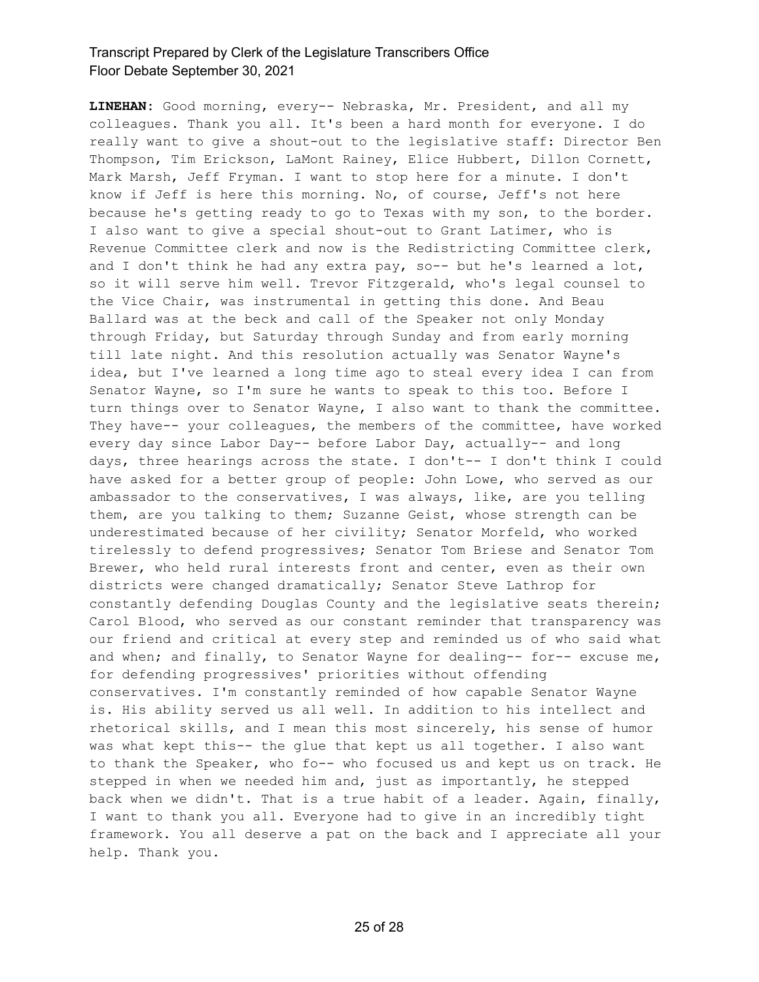**LINEHAN:** Good morning, every-- Nebraska, Mr. President, and all my colleagues. Thank you all. It's been a hard month for everyone. I do really want to give a shout-out to the legislative staff: Director Ben Thompson, Tim Erickson, LaMont Rainey, Elice Hubbert, Dillon Cornett, Mark Marsh, Jeff Fryman. I want to stop here for a minute. I don't know if Jeff is here this morning. No, of course, Jeff's not here because he's getting ready to go to Texas with my son, to the border. I also want to give a special shout-out to Grant Latimer, who is Revenue Committee clerk and now is the Redistricting Committee clerk, and I don't think he had any extra pay, so-- but he's learned a lot, so it will serve him well. Trevor Fitzgerald, who's legal counsel to the Vice Chair, was instrumental in getting this done. And Beau Ballard was at the beck and call of the Speaker not only Monday through Friday, but Saturday through Sunday and from early morning till late night. And this resolution actually was Senator Wayne's idea, but I've learned a long time ago to steal every idea I can from Senator Wayne, so I'm sure he wants to speak to this too. Before I turn things over to Senator Wayne, I also want to thank the committee. They have-- your colleagues, the members of the committee, have worked every day since Labor Day-- before Labor Day, actually-- and long days, three hearings across the state. I don't-- I don't think I could have asked for a better group of people: John Lowe, who served as our ambassador to the conservatives, I was always, like, are you telling them, are you talking to them; Suzanne Geist, whose strength can be underestimated because of her civility; Senator Morfeld, who worked tirelessly to defend progressives; Senator Tom Briese and Senator Tom Brewer, who held rural interests front and center, even as their own districts were changed dramatically; Senator Steve Lathrop for constantly defending Douglas County and the legislative seats therein; Carol Blood, who served as our constant reminder that transparency was our friend and critical at every step and reminded us of who said what and when; and finally, to Senator Wayne for dealing-- for-- excuse me, for defending progressives' priorities without offending conservatives. I'm constantly reminded of how capable Senator Wayne is. His ability served us all well. In addition to his intellect and rhetorical skills, and I mean this most sincerely, his sense of humor was what kept this-- the glue that kept us all together. I also want to thank the Speaker, who fo-- who focused us and kept us on track. He stepped in when we needed him and, just as importantly, he stepped back when we didn't. That is a true habit of a leader. Again, finally, I want to thank you all. Everyone had to give in an incredibly tight framework. You all deserve a pat on the back and I appreciate all your help. Thank you.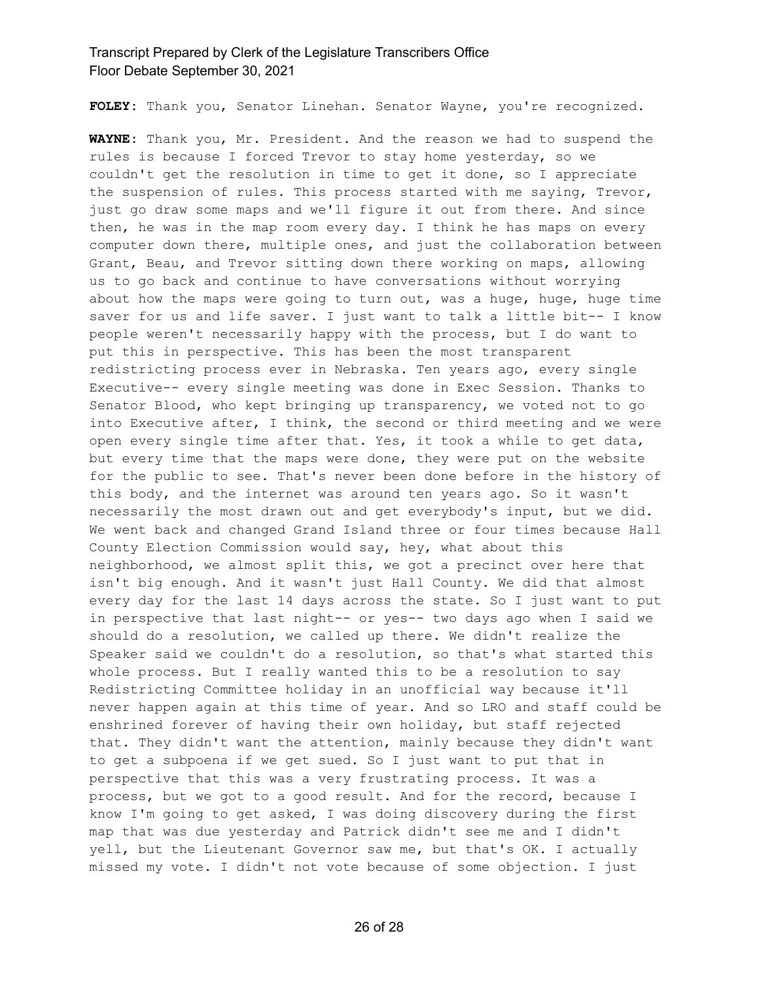**FOLEY:** Thank you, Senator Linehan. Senator Wayne, you're recognized.

**WAYNE:** Thank you, Mr. President. And the reason we had to suspend the rules is because I forced Trevor to stay home yesterday, so we couldn't get the resolution in time to get it done, so I appreciate the suspension of rules. This process started with me saying, Trevor, just go draw some maps and we'll figure it out from there. And since then, he was in the map room every day. I think he has maps on every computer down there, multiple ones, and just the collaboration between Grant, Beau, and Trevor sitting down there working on maps, allowing us to go back and continue to have conversations without worrying about how the maps were going to turn out, was a huge, huge, huge time saver for us and life saver. I just want to talk a little bit-- I know people weren't necessarily happy with the process, but I do want to put this in perspective. This has been the most transparent redistricting process ever in Nebraska. Ten years ago, every single Executive-- every single meeting was done in Exec Session. Thanks to Senator Blood, who kept bringing up transparency, we voted not to go into Executive after, I think, the second or third meeting and we were open every single time after that. Yes, it took a while to get data, but every time that the maps were done, they were put on the website for the public to see. That's never been done before in the history of this body, and the internet was around ten years ago. So it wasn't necessarily the most drawn out and get everybody's input, but we did. We went back and changed Grand Island three or four times because Hall County Election Commission would say, hey, what about this neighborhood, we almost split this, we got a precinct over here that isn't big enough. And it wasn't just Hall County. We did that almost every day for the last 14 days across the state. So I just want to put in perspective that last night-- or yes-- two days ago when I said we should do a resolution, we called up there. We didn't realize the Speaker said we couldn't do a resolution, so that's what started this whole process. But I really wanted this to be a resolution to say Redistricting Committee holiday in an unofficial way because it'll never happen again at this time of year. And so LRO and staff could be enshrined forever of having their own holiday, but staff rejected that. They didn't want the attention, mainly because they didn't want to get a subpoena if we get sued. So I just want to put that in perspective that this was a very frustrating process. It was a process, but we got to a good result. And for the record, because I know I'm going to get asked, I was doing discovery during the first map that was due yesterday and Patrick didn't see me and I didn't yell, but the Lieutenant Governor saw me, but that's OK. I actually missed my vote. I didn't not vote because of some objection. I just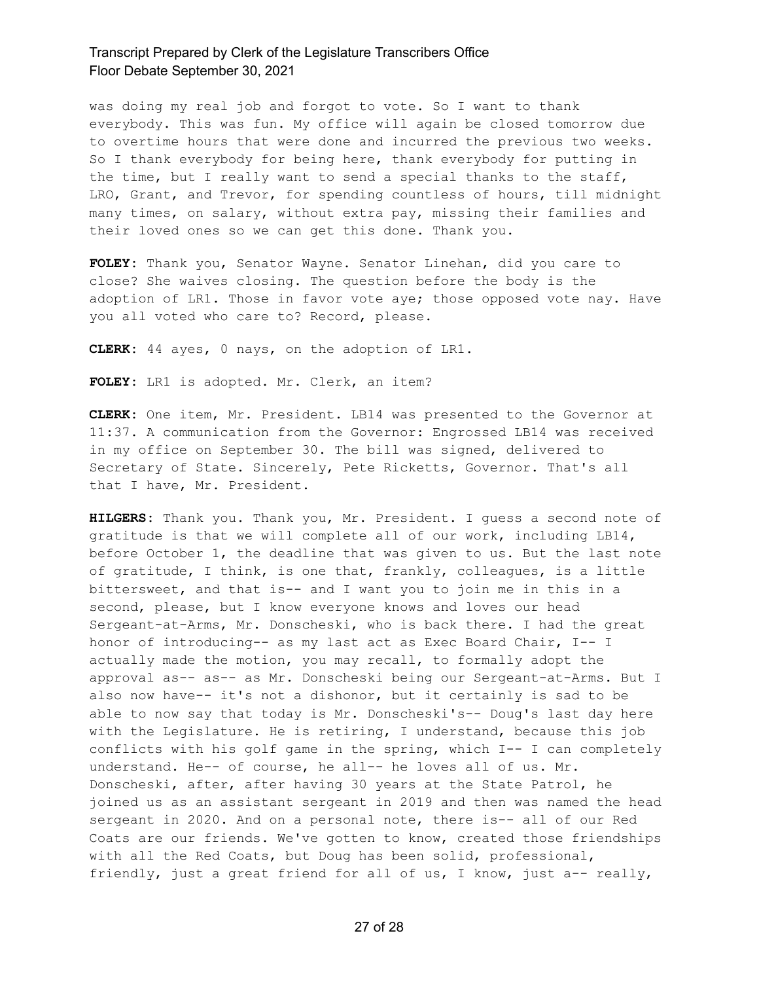was doing my real job and forgot to vote. So I want to thank everybody. This was fun. My office will again be closed tomorrow due to overtime hours that were done and incurred the previous two weeks. So I thank everybody for being here, thank everybody for putting in the time, but I really want to send a special thanks to the staff, LRO, Grant, and Trevor, for spending countless of hours, till midnight many times, on salary, without extra pay, missing their families and their loved ones so we can get this done. Thank you.

**FOLEY:** Thank you, Senator Wayne. Senator Linehan, did you care to close? She waives closing. The question before the body is the adoption of LR1. Those in favor vote aye; those opposed vote nay. Have you all voted who care to? Record, please.

**CLERK:** 44 ayes, 0 nays, on the adoption of LR1.

**FOLEY:** LR1 is adopted. Mr. Clerk, an item?

**CLERK:** One item, Mr. President. LB14 was presented to the Governor at 11:37. A communication from the Governor: Engrossed LB14 was received in my office on September 30. The bill was signed, delivered to Secretary of State. Sincerely, Pete Ricketts, Governor. That's all that I have, Mr. President.

**HILGERS:** Thank you. Thank you, Mr. President. I guess a second note of gratitude is that we will complete all of our work, including LB14, before October 1, the deadline that was given to us. But the last note of gratitude, I think, is one that, frankly, colleagues, is a little bittersweet, and that is-- and I want you to join me in this in a second, please, but I know everyone knows and loves our head Sergeant-at-Arms, Mr. Donscheski, who is back there. I had the great honor of introducing-- as my last act as Exec Board Chair, I-- I actually made the motion, you may recall, to formally adopt the approval as-- as-- as Mr. Donscheski being our Sergeant-at-Arms. But I also now have-- it's not a dishonor, but it certainly is sad to be able to now say that today is Mr. Donscheski's-- Doug's last day here with the Legislature. He is retiring, I understand, because this job conflicts with his golf game in the spring, which I-- I can completely understand. He-- of course, he all-- he loves all of us. Mr. Donscheski, after, after having 30 years at the State Patrol, he joined us as an assistant sergeant in 2019 and then was named the head sergeant in 2020. And on a personal note, there is-- all of our Red Coats are our friends. We've gotten to know, created those friendships with all the Red Coats, but Doug has been solid, professional, friendly, just a great friend for all of us, I know, just a-- really,